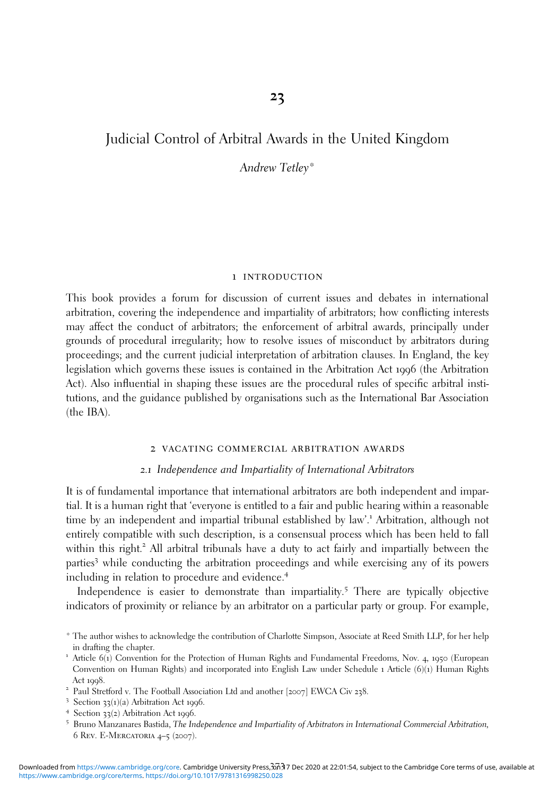# Judicial Control of Arbitral Awards in the United Kingdom

Andrew Tetley\*

#### 1 introduction

This book provides a forum for discussion of current issues and debates in international arbitration, covering the independence and impartiality of arbitrators; how conflicting interests may affect the conduct of arbitrators; the enforcement of arbitral awards, principally under grounds of procedural irregularity; how to resolve issues of misconduct by arbitrators during proceedings; and the current judicial interpretation of arbitration clauses. In England, the key legislation which governs these issues is contained in the Arbitration Act 1996 (the Arbitration Act). Also influential in shaping these issues are the procedural rules of specific arbitral institutions, and the guidance published by organisations such as the International Bar Association (the IBA).

#### 2 vacating commercial arbitration awards

## *2*.*1* Independence and Impartiality of International Arbitrators

It is of fundamental importance that international arbitrators are both independent and impartial. It is a human right that 'everyone is entitled to a fair and public hearing within a reasonable time by an independent and impartial tribunal established by law'. <sup>1</sup> Arbitration, although not entirely compatible with such description, is a consensual process which has been held to fall within this right.<sup>2</sup> All arbitral tribunals have a duty to act fairly and impartially between the parties<sup>3</sup> while conducting the arbitration proceedings and while exercising any of its powers including in relation to procedure and evidence.<sup>4</sup>

Independence is easier to demonstrate than impartiality.<sup>5</sup> There are typically objective indicators of proximity or reliance by an arbitrator on a particular party or group. For example,

- 
- 
- 
- 6 Rev. E-Mercatoria 4–5 (2007).

<sup>\*</sup> The author wishes to acknowledge the contribution of Charlotte Simpson, Associate at Reed Smith LLP, for her help in drafting the chapter.

<sup>1</sup> Article <sup>6</sup>(1) Convention for the Protection of Human Rights and Fundamental Freedoms, Nov. <sup>4</sup>, <sup>1950</sup> (European Convention on Human Rights) and incorporated into English Law under Schedule 1 Article (6)(1) Human Rights Act 1998.<br>
2 Paul Stretford v. The Football Association Ltd and another [2007] EWCA Civ 238.<br>
3 Section 33(1)(a) Arbitration Act 1996.<br>
4 Section 33(2) Arbitration Act 1996.<br>
5 Bruno Manzanares Bastida, The Independence an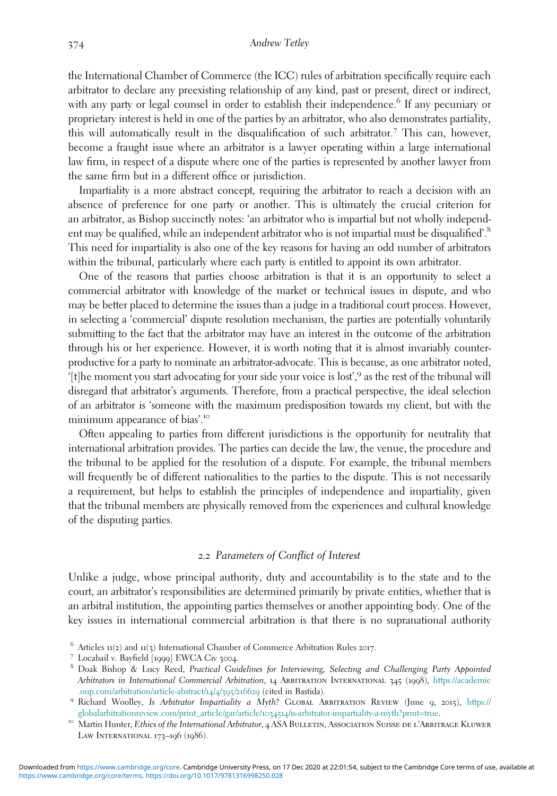the International Chamber of Commerce (the ICC) rules of arbitration specifically require each arbitrator to declare any preexisting relationship of any kind, past or present, direct or indirect, with any party or legal counsel in order to establish their independence.<sup>6</sup> If any pecuniary or proprietary interest is held in one of the parties by an arbitrator, who also demonstrates partiality, this will automatically result in the disqualification of such arbitrator.<sup>7</sup> This can, however, become a fraught issue where an arbitrator is a lawyer operating within a large international law firm, in respect of a dispute where one of the parties is represented by another lawyer from the same firm but in a different office or jurisdiction.

Impartiality is a more abstract concept, requiring the arbitrator to reach a decision with an absence of preference for one party or another. This is ultimately the crucial criterion for an arbitrator, as Bishop succinctly notes: 'an arbitrator who is impartial but not wholly independent may be qualified, while an independent arbitrator who is not impartial must be disqualified'.<sup>8</sup> This need for impartiality is also one of the key reasons for having an odd number of arbitrators within the tribunal, particularly where each party is entitled to appoint its own arbitrator.

One of the reasons that parties choose arbitration is that it is an opportunity to select a commercial arbitrator with knowledge of the market or technical issues in dispute, and who may be better placed to determine the issues than a judge in a traditional court process. However, in selecting a 'commercial' dispute resolution mechanism, the parties are potentially voluntarily submitting to the fact that the arbitrator may have an interest in the outcome of the arbitration through his or her experience. However, it is worth noting that it is almost invariably counterproductive for a party to nominate an arbitrator-advocate. This is because, as one arbitrator noted, '[t]he moment you start advocating for your side your voice is lost', <sup>9</sup> as the rest of the tribunal will disregard that arbitrator's arguments. Therefore, from a practical perspective, the ideal selection of an arbitrator is 'someone with the maximum predisposition towards my client, but with the minimum appearance of bias'.<sup>10</sup>

Often appealing to parties from different jurisdictions is the opportunity for neutrality that international arbitration provides. The parties can decide the law, the venue, the procedure and the tribunal to be applied for the resolution of a dispute. For example, the tribunal members will frequently be of different nationalities to the parties to the dispute. This is not necessarily a requirement, but helps to establish the principles of independence and impartiality, given that the tribunal members are physically removed from the experiences and cultural knowledge of the disputing parties.

#### *2*.*2* Parameters of Conflict of Interest

Unlike a judge, whose principal authority, duty and accountability is to the state and to the court, an arbitrator's responsibilities are determined primarily by private entities, whether that is an arbitral institution, the appointing parties themselves or another appointing body. One of the key issues in international commercial arbitration is that there is no supranational authority

<sup>&</sup>lt;sup>6</sup> Articles 11(2) and 11(3) International Chamber of Commerce Arbitration Rules 2017.<br><sup>7</sup> Locabail v. Bayfield [1999] EWCA Civ 3004.<br><sup>8</sup> Doak Bishop & Lucy Reed, *Practical Guidelines for Interviewing, Selecting and Chal* Arbitrators in International Commercial Arbitration, 14 Arbitration International 345 (1998), [https://academic](https://academic.oup.com/arbitration/article-abstract/14/4/395/216629) [.oup.com/arbitration/article-abstract/](https://academic.oup.com/arbitration/article-abstract/14/4/395/216629)14/4/395/<sup>216629</sup> (cited in Bastida). <sup>9</sup> Richard Woolley, Is Arbitrator Impartiality a Myth? Global Arbitration Review (June <sup>9</sup>, <sup>2015</sup>), [https://](https://globalarbitrationreview.com/print_article/gar/article/1034514/is-arbitrator-impartiality-a-myth?print=true)

[globalarbitrationreview.com/print\\_article/gar/article/](https://globalarbitrationreview.com/print_article/gar/article/1034514/is-arbitrator-impartiality-a-myth?print=true)1034514/is-arbitrator-impartiality-a-myth?print=true.<br><sup>10</sup> Martin Hunter, Ethics of the International Arbitrator, 4 ASA BULLETIN, ASSOCIATION SUISSE DE L'ARBITRAGE KLUW

LAW INTERNATIONAL 173-196 (1986).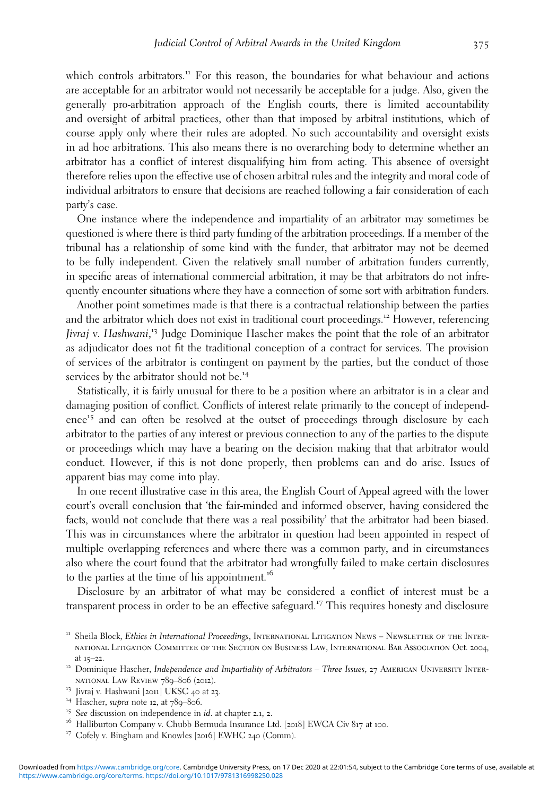which controls arbitrators.<sup>11</sup> For this reason, the boundaries for what behaviour and actions are acceptable for an arbitrator would not necessarily be acceptable for a judge. Also, given the generally pro-arbitration approach of the English courts, there is limited accountability and oversight of arbitral practices, other than that imposed by arbitral institutions, which of course apply only where their rules are adopted. No such accountability and oversight exists in ad hoc arbitrations. This also means there is no overarching body to determine whether an arbitrator has a conflict of interest disqualifying him from acting. This absence of oversight therefore relies upon the effective use of chosen arbitral rules and the integrity and moral code of individual arbitrators to ensure that decisions are reached following a fair consideration of each party's case.

One instance where the independence and impartiality of an arbitrator may sometimes be questioned is where there is third party funding of the arbitration proceedings. If a member of the tribunal has a relationship of some kind with the funder, that arbitrator may not be deemed to be fully independent. Given the relatively small number of arbitration funders currently, in specific areas of international commercial arbitration, it may be that arbitrators do not infrequently encounter situations where they have a connection of some sort with arbitration funders.

Another point sometimes made is that there is a contractual relationship between the parties and the arbitrator which does not exist in traditional court proceedings.<sup>12</sup> However, referencing Jivraj v. Hashwani, <sup>13</sup> Judge Dominique Hascher makes the point that the role of an arbitrator as adjudicator does not fit the traditional conception of a contract for services. The provision of services of the arbitrator is contingent on payment by the parties, but the conduct of those services by the arbitrator should not be.<sup>14</sup>

Statistically, it is fairly unusual for there to be a position where an arbitrator is in a clear and damaging position of conflict. Conflicts of interest relate primarily to the concept of independence<sup>15</sup> and can often be resolved at the outset of proceedings through disclosure by each arbitrator to the parties of any interest or previous connection to any of the parties to the dispute or proceedings which may have a bearing on the decision making that that arbitrator would conduct. However, if this is not done properly, then problems can and do arise. Issues of apparent bias may come into play.

In one recent illustrative case in this area, the English Court of Appeal agreed with the lower court's overall conclusion that 'the fair-minded and informed observer, having considered the facts, would not conclude that there was a real possibility' that the arbitrator had been biased. This was in circumstances where the arbitrator in question had been appointed in respect of multiple overlapping references and where there was a common party, and in circumstances also where the court found that the arbitrator had wrongfully failed to make certain disclosures to the parties at the time of his appointment.<sup>16</sup>

Disclosure by an arbitrator of what may be considered a conflict of interest must be a transparent process in order to be an effective safeguard.<sup>17</sup> This requires honesty and disclosure

- 
- 
- 
- 
- 

<sup>&</sup>lt;sup>11</sup> Sheila Block, Ethics in International Proceedings, INTERNATIONAL LITIGATION NEWS – NEWSLETTER OF THE INTERnational Litigation Committee of the Section on Business Law, International Bar Association Oct. 2004, at 15–22.<br><sup>12</sup> Dominique Hascher, *Independence and Impartiality of Arbitrators* – Three Issues, 27 AMERICAN UNIVERSITY INTER-

NATIONAL LAW REVIEW 789–806 (2012).<br><sup>13</sup> Jivraj v. Hashwani [2011] UKSC 40 at 23.<br><sup>14</sup> Hascher, *supra* note 12, at 789–806.<br><sup>15</sup> See discussion on independence in *id.* at chapter 2.1, 2.<br><sup>16</sup> Halliburton Company v. Chub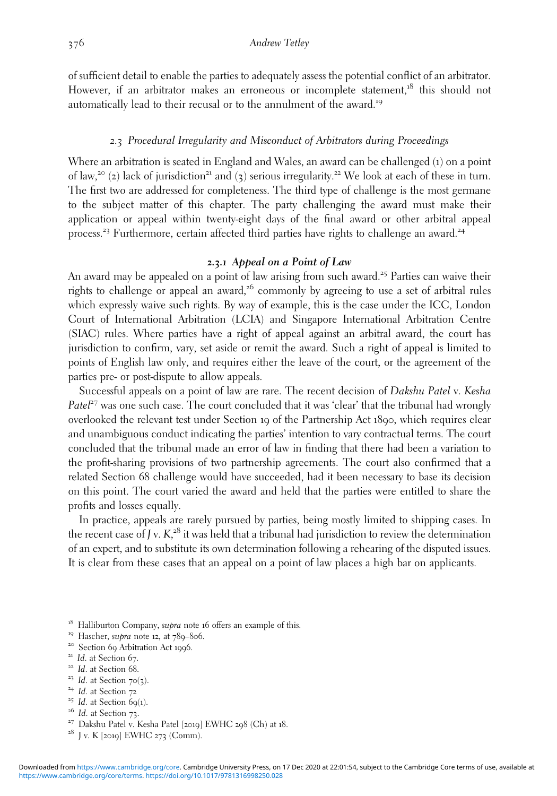of sufficient detail to enable the parties to adequately assess the potential conflict of an arbitrator. However, if an arbitrator makes an erroneous or incomplete statement,<sup>18</sup> this should not automatically lead to their recusal or to the annulment of the award.<sup>19</sup>

## *2*.*3* Procedural Irregularity and Misconduct of Arbitrators during Proceedings

Where an arbitration is seated in England and Wales, an award can be challenged (1) on a point of law,<sup>20</sup> (2) lack of jurisdiction<sup>21</sup> and (3) serious irregularity.<sup>22</sup> We look at each of these in turn. The first two are addressed for completeness. The third type of challenge is the most germane to the subject matter of this chapter. The party challenging the award must make their application or appeal within twenty-eight days of the final award or other arbitral appeal process.<sup>23</sup> Furthermore, certain affected third parties have rights to challenge an award.<sup>24</sup>

# *2***.***3***.***1* **Appeal on a Point of Law**

An award may be appealed on a point of law arising from such award.<sup>25</sup> Parties can waive their rights to challenge or appeal an award,<sup>26</sup> commonly by agreeing to use a set of arbitral rules which expressly waive such rights. By way of example, this is the case under the ICC, London Court of International Arbitration (LCIA) and Singapore International Arbitration Centre (SIAC) rules. Where parties have a right of appeal against an arbitral award, the court has jurisdiction to confirm, vary, set aside or remit the award. Such a right of appeal is limited to points of English law only, and requires either the leave of the court, or the agreement of the parties pre- or post-dispute to allow appeals.

Successful appeals on a point of law are rare. The recent decision of Dakshu Patel v. Kesha  $Pate^{27}$  was one such case. The court concluded that it was 'clear' that the tribunal had wrongly overlooked the relevant test under Section 19 of the Partnership Act 1890, which requires clear and unambiguous conduct indicating the parties' intention to vary contractual terms. The court concluded that the tribunal made an error of law in finding that there had been a variation to the profit-sharing provisions of two partnership agreements. The court also confirmed that a related Section 68 challenge would have succeeded, had it been necessary to base its decision on this point. The court varied the award and held that the parties were entitled to share the profits and losses equally.

In practice, appeals are rarely pursued by parties, being mostly limited to shipping cases. In the recent case of  $J v. K<sub>z</sub><sup>28</sup>$  it was held that a tribunal had jurisdiction to review the determination of an expert, and to substitute its own determination following a rehearing of the disputed issues. It is clear from these cases that an appeal on a point of law places a high bar on applicants.

<sup>18</sup> Halliburton Company, *supra* note 16 offers an example of this.<br><sup>19</sup> Hascher, *supra* note 12, at 789–806.<br><sup>20</sup> Section 69 Arbitration Act 1996.<br><sup>21</sup> Id. at Section 67.<br><sup>22</sup> Id. at Section 70(3).<br><sup>24</sup> Id. at Section

- 
- 
- 
- 
- 
- 
-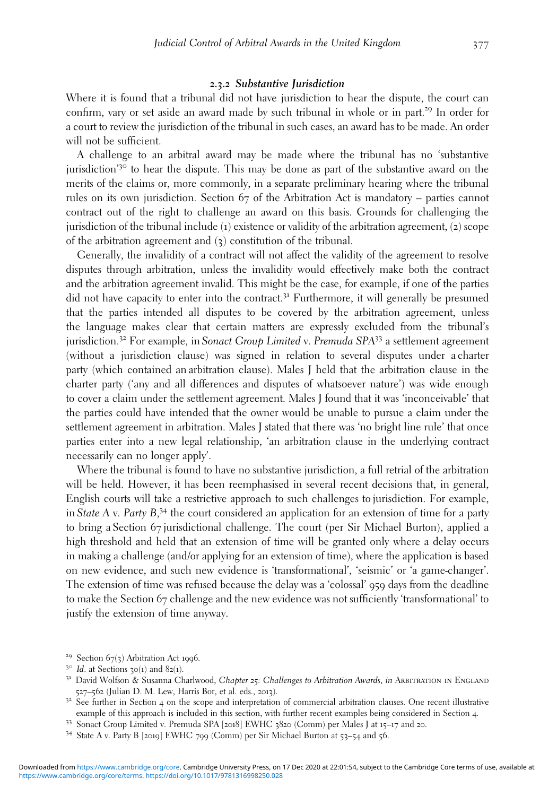## *2***.***3***.***2* **Substantive Jurisdiction**

Where it is found that a tribunal did not have jurisdiction to hear the dispute, the court can confirm, vary or set aside an award made by such tribunal in whole or in part.<sup>29</sup> In order for a court to review the jurisdiction of the tribunal in such cases, an award has to be made. An order will not be sufficient.

A challenge to an arbitral award may be made where the tribunal has no 'substantive jurisdiction<sup>'30</sup> to hear the dispute. This may be done as part of the substantive award on the merits of the claims or, more commonly, in a separate preliminary hearing where the tribunal rules on its own jurisdiction. Section 67 of the Arbitration Act is mandatory – parties cannot contract out of the right to challenge an award on this basis. Grounds for challenging the jurisdiction of the tribunal include (1) existence or validity of the arbitration agreement, (2) scope of the arbitration agreement and (3) constitution of the tribunal.

Generally, the invalidity of a contract will not affect the validity of the agreement to resolve disputes through arbitration, unless the invalidity would effectively make both the contract and the arbitration agreement invalid. This might be the case, for example, if one of the parties did not have capacity to enter into the contract.<sup>31</sup> Furthermore, it will generally be presumed that the parties intended all disputes to be covered by the arbitration agreement, unless the language makes clear that certain matters are expressly excluded from the tribunal's jurisdiction.<sup>32</sup> For example, in Sonact Group Limited v. Premuda SPA $33$  a settlement agreement (without a jurisdiction clause) was signed in relation to several disputes under a charter party (which contained an arbitration clause). Males J held that the arbitration clause in the charter party ('any and all differences and disputes of whatsoever nature') was wide enough to cover a claim under the settlement agreement. Males J found that it was 'inconceivable' that the parties could have intended that the owner would be unable to pursue a claim under the settlement agreement in arbitration. Males J stated that there was 'no bright line rule' that once parties enter into a new legal relationship, 'an arbitration clause in the underlying contract necessarily can no longer apply'.

Where the tribunal is found to have no substantive jurisdiction, a full retrial of the arbitration will be held. However, it has been reemphasised in several recent decisions that, in general, English courts will take a restrictive approach to such challenges to jurisdiction. For example, in State A v. Party B,<sup>34</sup> the court considered an application for an extension of time for a party to bring a Section 67 jurisdictional challenge. The court (per Sir Michael Burton), applied a high threshold and held that an extension of time will be granted only where a delay occurs in making a challenge (and/or applying for an extension of time), where the application is based on new evidence, and such new evidence is 'transformational', 'seismic' or 'a game-changer'. The extension of time was refused because the delay was a 'colossal' 959 days from the deadline to make the Section 67 challenge and the new evidence was not sufficiently 'transformational' to justify the extension of time anyway.

<sup>&</sup>lt;sup>29</sup> Section 67(3) Arbitration Act 1996.<br><sup>30</sup> Id. at Sections 30(1) and 82(1).<br><sup>31</sup> David Wolfson & Susanna Charlwood, *Chapter 25*: *Challenges to Arbitration Awards, in* Arbitration in England<br>527–562 (Julian D. M. Lew,

<sup>&</sup>lt;sup>32</sup> See further in Section 4 on the scope and interpretation of commercial arbitration clauses. One recent illustrative example of this approach is included in this section, with further recent examples being considered in Section 4.<br>
<sup>33</sup> Sonact Group Limited v. Premuda SPA [2018] EWHC 3820 (Comm) per Males J at 15–17 and 20.<br>
<sup>34</sup> State A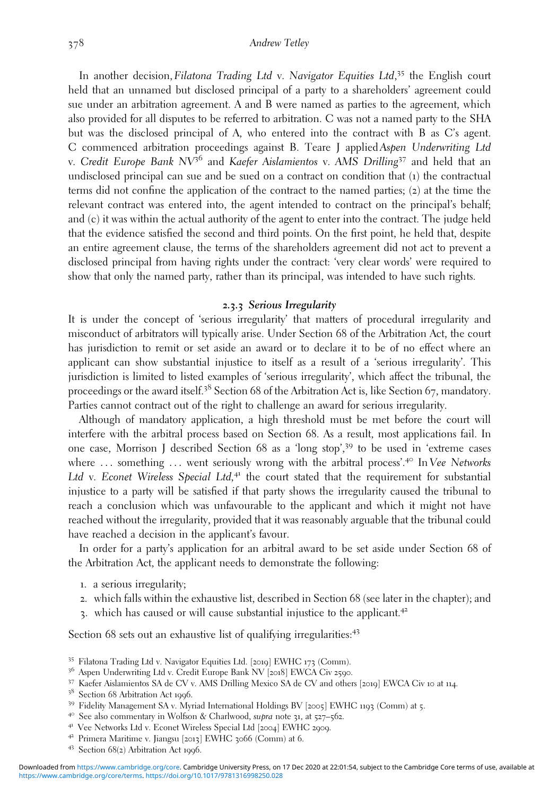In another decision, Filatona Trading Ltd v. Navigator Equities Ltd,<sup>35</sup> the English court held that an unnamed but disclosed principal of a party to a shareholders' agreement could sue under an arbitration agreement. A and B were named as parties to the agreement, which also provided for all disputes to be referred to arbitration. C was not a named party to the SHA but was the disclosed principal of A, who entered into the contract with B as C's agent. C commenced arbitration proceedings against B. Teare J applied Aspen Underwriting Ltd v. Credit Europe Bank  $N<sup>56</sup>$  and Kaefer Aislamientos v. AMS Drilling<sup>37</sup> and held that an undisclosed principal can sue and be sued on a contract on condition that (1) the contractual terms did not confine the application of the contract to the named parties; (2) at the time the relevant contract was entered into, the agent intended to contract on the principal's behalf; and (c) it was within the actual authority of the agent to enter into the contract. The judge held that the evidence satisfied the second and third points. On the first point, he held that, despite an entire agreement clause, the terms of the shareholders agreement did not act to prevent a disclosed principal from having rights under the contract: 'very clear words' were required to show that only the named party, rather than its principal, was intended to have such rights.

#### *2***.***3***.***3* **Serious Irregularity**

It is under the concept of 'serious irregularity' that matters of procedural irregularity and misconduct of arbitrators will typically arise. Under Section 68 of the Arbitration Act, the court has jurisdiction to remit or set aside an award or to declare it to be of no effect where an applicant can show substantial injustice to itself as a result of a 'serious irregularity'. This jurisdiction is limited to listed examples of 'serious irregularity', which affect the tribunal, the proceedings or the award itself.<sup>38</sup> Section <sup>68</sup> of the Arbitration Act is, like Section <sup>67</sup>, mandatory. Parties cannot contract out of the right to challenge an award for serious irregularity.

Although of mandatory application, a high threshold must be met before the court will interfere with the arbitral process based on Section 68. As a result, most applications fail. In one case, Morrison J described Section 68 as a 'long stop', <sup>39</sup> to be used in 'extreme cases where ... something ... went seriously wrong with the arbitral process'.<sup>40</sup> In Vee Networks Ltd v. Econet Wireless Special Ltd, $4$ <sup>+</sup> the court stated that the requirement for substantial injustice to a party will be satisfied if that party shows the irregularity caused the tribunal to reach a conclusion which was unfavourable to the applicant and which it might not have reached without the irregularity, provided that it was reasonably arguable that the tribunal could have reached a decision in the applicant's favour.

In order for a party's application for an arbitral award to be set aside under Section 68 of the Arbitration Act, the applicant needs to demonstrate the following:

- 1. a serious irregularity;
- 2. which falls within the exhaustive list, described in Section 68 (see later in the chapter); and
- 3. which has caused or will cause substantial injustice to the applicant.<sup>42</sup>

Section 68 sets out an exhaustive list of qualifying irregularities:<sup>43</sup>

- <sup>35</sup> Filatona Trading Ltd v. Navigator Equities Ltd. [2019] EWHC 173 (Comm).<br><sup>36</sup> Aspen Underwriting Ltd v. Credit Europe Bank NV [2018] EWCA Civ 2590.
- 

- 
- 
- 
- 

<sup>&</sup>lt;sup>37</sup> Kaefer Aislamientos SA de CV v. AMS Drilling Mexico SA de CV and others [2019] EWCA Civ 10 at 114.<br><sup>38</sup> Section 68 Arbitration Act 1996.<br><sup>39</sup> Fidelity Management SA v. Myriad International Holdings BV [2005] EWHC 119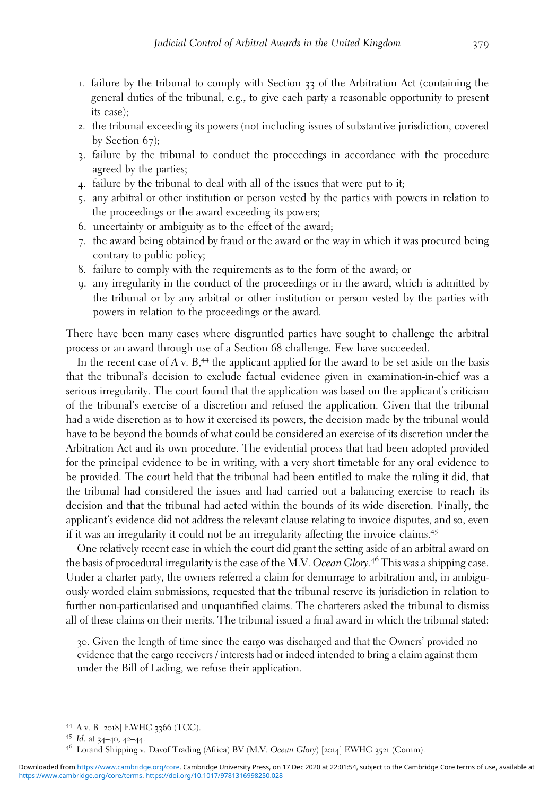- 1. failure by the tribunal to comply with Section 33 of the Arbitration Act (containing the general duties of the tribunal, e.g., to give each party a reasonable opportunity to present its case);
- 2. the tribunal exceeding its powers (not including issues of substantive jurisdiction, covered by Section 67);
- 3. failure by the tribunal to conduct the proceedings in accordance with the procedure agreed by the parties;
- 4. failure by the tribunal to deal with all of the issues that were put to it;
- 5. any arbitral or other institution or person vested by the parties with powers in relation to the proceedings or the award exceeding its powers;
- 6. uncertainty or ambiguity as to the effect of the award;
- 7. the award being obtained by fraud or the award or the way in which it was procured being contrary to public policy;
- 8. failure to comply with the requirements as to the form of the award; or
- 9. any irregularity in the conduct of the proceedings or in the award, which is admitted by the tribunal or by any arbitral or other institution or person vested by the parties with powers in relation to the proceedings or the award.

There have been many cases where disgruntled parties have sought to challenge the arbitral process or an award through use of a Section 68 challenge. Few have succeeded.

In the recent case of A v. B,<sup>44</sup> the applicant applied for the award to be set aside on the basis that the tribunal's decision to exclude factual evidence given in examination-in-chief was a serious irregularity. The court found that the application was based on the applicant's criticism of the tribunal's exercise of a discretion and refused the application. Given that the tribunal had a wide discretion as to how it exercised its powers, the decision made by the tribunal would have to be beyond the bounds of what could be considered an exercise of its discretion under the Arbitration Act and its own procedure. The evidential process that had been adopted provided for the principal evidence to be in writing, with a very short timetable for any oral evidence to be provided. The court held that the tribunal had been entitled to make the ruling it did, that the tribunal had considered the issues and had carried out a balancing exercise to reach its decision and that the tribunal had acted within the bounds of its wide discretion. Finally, the applicant's evidence did not address the relevant clause relating to invoice disputes, and so, even if it was an irregularity it could not be an irregularity affecting the invoice claims.<sup>45</sup>

One relatively recent case in which the court did grant the setting aside of an arbitral award on the basis of procedural irregularity is the case of the M.V. Ocean Glory.<sup>46</sup> This was a shipping case. Under a charter party, the owners referred a claim for demurrage to arbitration and, in ambiguously worded claim submissions, requested that the tribunal reserve its jurisdiction in relation to further non-particularised and unquantified claims. The charterers asked the tribunal to dismiss all of these claims on their merits. The tribunal issued a final award in which the tribunal stated:

30. Given the length of time since the cargo was discharged and that the Owners' provided no evidence that the cargo receivers / interests had or indeed intended to bring a claim against them under the Bill of Lading, we refuse their application.

<sup>44</sup> A v. B [2018] EWHC <sup>3366</sup> (TCC). <sup>45</sup> Id. at <sup>34</sup>–40, <sup>42</sup>–44. <sup>46</sup> Lorand Shipping v. Davof Trading (Africa) BV (M.V. Ocean Glory) [2014] EWHC <sup>3521</sup> (Comm).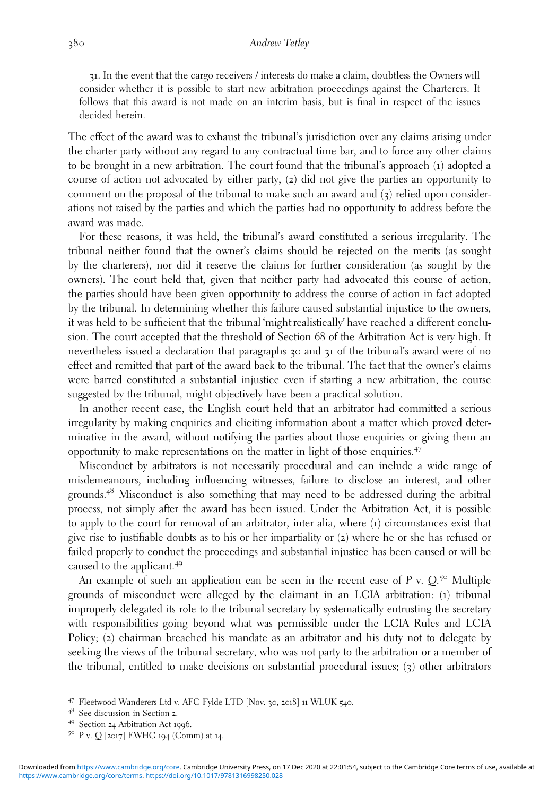31. In the event that the cargo receivers / interests do make a claim, doubtless the Owners will consider whether it is possible to start new arbitration proceedings against the Charterers. It follows that this award is not made on an interim basis, but is final in respect of the issues decided herein.

The effect of the award was to exhaust the tribunal's jurisdiction over any claims arising under the charter party without any regard to any contractual time bar, and to force any other claims to be brought in a new arbitration. The court found that the tribunal's approach (1) adopted a course of action not advocated by either party, (2) did not give the parties an opportunity to comment on the proposal of the tribunal to make such an award and  $(3)$  relied upon considerations not raised by the parties and which the parties had no opportunity to address before the award was made.

For these reasons, it was held, the tribunal's award constituted a serious irregularity. The tribunal neither found that the owner's claims should be rejected on the merits (as sought by the charterers), nor did it reserve the claims for further consideration (as sought by the owners). The court held that, given that neither party had advocated this course of action, the parties should have been given opportunity to address the course of action in fact adopted by the tribunal. In determining whether this failure caused substantial injustice to the owners, it was held to be sufficient that the tribunal 'might realistically' have reached a different conclusion. The court accepted that the threshold of Section 68 of the Arbitration Act is very high. It nevertheless issued a declaration that paragraphs 30 and 31 of the tribunal's award were of no effect and remitted that part of the award back to the tribunal. The fact that the owner's claims were barred constituted a substantial injustice even if starting a new arbitration, the course suggested by the tribunal, might objectively have been a practical solution.

In another recent case, the English court held that an arbitrator had committed a serious irregularity by making enquiries and eliciting information about a matter which proved determinative in the award, without notifying the parties about those enquiries or giving them an opportunity to make representations on the matter in light of those enquiries.<sup>47</sup>

Misconduct by arbitrators is not necessarily procedural and can include a wide range of misdemeanours, including influencing witnesses, failure to disclose an interest, and other grounds.<sup>48</sup> Misconduct is also something that may need to be addressed during the arbitral process, not simply after the award has been issued. Under the Arbitration Act, it is possible to apply to the court for removal of an arbitrator, inter alia, where (1) circumstances exist that give rise to justifiable doubts as to his or her impartiality or (2) where he or she has refused or failed properly to conduct the proceedings and substantial injustice has been caused or will be caused to the applicant.<sup>49</sup>

An example of such an application can be seen in the recent case of  $P$  v.  $Q$ .<sup>50</sup> Multiple grounds of misconduct were alleged by the claimant in an LCIA arbitration: (1) tribunal improperly delegated its role to the tribunal secretary by systematically entrusting the secretary with responsibilities going beyond what was permissible under the LCIA Rules and LCIA Policy; (2) chairman breached his mandate as an arbitrator and his duty not to delegate by seeking the views of the tribunal secretary, who was not party to the arbitration or a member of the tribunal, entitled to make decisions on substantial procedural issues; (3) other arbitrators

<sup>47</sup> Fleetwood Wanderers Ltd v. AFC Fylde LTD [Nov. 30, 2018] 11 WLUK 540.<br>
48 See discussion in Section 2.<br>
49 Section 24 Arbitration Act 1996.<br>
50 P v. Q [2017] EWHC 194 (Comm) at 14.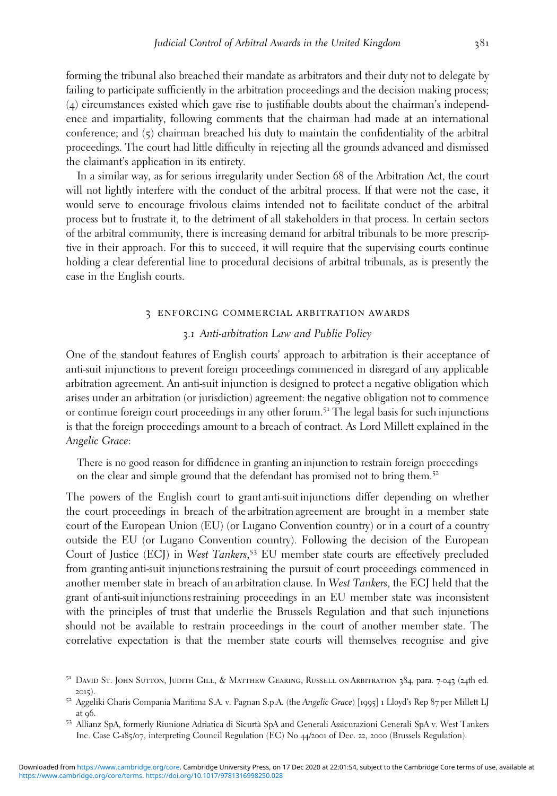forming the tribunal also breached their mandate as arbitrators and their duty not to delegate by failing to participate sufficiently in the arbitration proceedings and the decision making process; (4) circumstances existed which gave rise to justifiable doubts about the chairman's independence and impartiality, following comments that the chairman had made at an international conference; and (5) chairman breached his duty to maintain the confidentiality of the arbitral proceedings. The court had little difficulty in rejecting all the grounds advanced and dismissed the claimant's application in its entirety.

In a similar way, as for serious irregularity under Section 68 of the Arbitration Act, the court will not lightly interfere with the conduct of the arbitral process. If that were not the case, it would serve to encourage frivolous claims intended not to facilitate conduct of the arbitral process but to frustrate it, to the detriment of all stakeholders in that process. In certain sectors of the arbitral community, there is increasing demand for arbitral tribunals to be more prescriptive in their approach. For this to succeed, it will require that the supervising courts continue holding a clear deferential line to procedural decisions of arbitral tribunals, as is presently the case in the English courts.

#### 3 enforcing commercial arbitration awards

# *3*.*1* Anti-arbitration Law and Public Policy

One of the standout features of English courts' approach to arbitration is their acceptance of anti-suit injunctions to prevent foreign proceedings commenced in disregard of any applicable arbitration agreement. An anti-suit injunction is designed to protect a negative obligation which arises under an arbitration (or jurisdiction) agreement: the negative obligation not to commence or continue foreign court proceedings in any other forum.<sup>51</sup> The legal basis for such injunctions is that the foreign proceedings amount to a breach of contract. As Lord Millett explained in the Angelic Grace:

There is no good reason for diffidence in granting an injunction to restrain foreign proceedings on the clear and simple ground that the defendant has promised not to bring them.<sup>52</sup>

The powers of the English court to grant anti-suit injunctions differ depending on whether the court proceedings in breach of the arbitration agreement are brought in a member state court of the European Union (EU) (or Lugano Convention country) or in a court of a country outside the EU (or Lugano Convention country). Following the decision of the European Court of Justice (ECJ) in West Tankers, <sup>53</sup> EU member state courts are effectively precluded from granting anti-suit injunctions restraining the pursuit of court proceedings commenced in another member state in breach of an arbitration clause. In West Tankers, the ECJ held that the grant of anti-suit injunctions restraining proceedings in an EU member state was inconsistent with the principles of trust that underlie the Brussels Regulation and that such injunctions should not be available to restrain proceedings in the court of another member state. The correlative expectation is that the member state courts will themselves recognise and give

<sup>&</sup>lt;sup>51</sup> DAVID ST. JOHN SUTTON, JUDITH GILL, & MATTHEW GEARING, RUSSELL ON ARBITRATION 384, para. 7-043 (24th ed. <sup>2015</sup>). <sup>52</sup> Aggeliki Charis Compania Maritima S.A. v. Pagnan S.p.A. (the Angelic Grace) [1995] <sup>1</sup> Lloyd's Rep <sup>87</sup> per Millett LJ

at <sup>96</sup>. <sup>53</sup> Allianz SpA, formerly Riunione Adriatica di Sicurtà SpA and Generali Assicurazioni Generali SpA v. West Tankers

Inc. Case C-185/07, interpreting Council Regulation (EC) No 44/2001 of Dec. 22, 2000 (Brussels Regulation).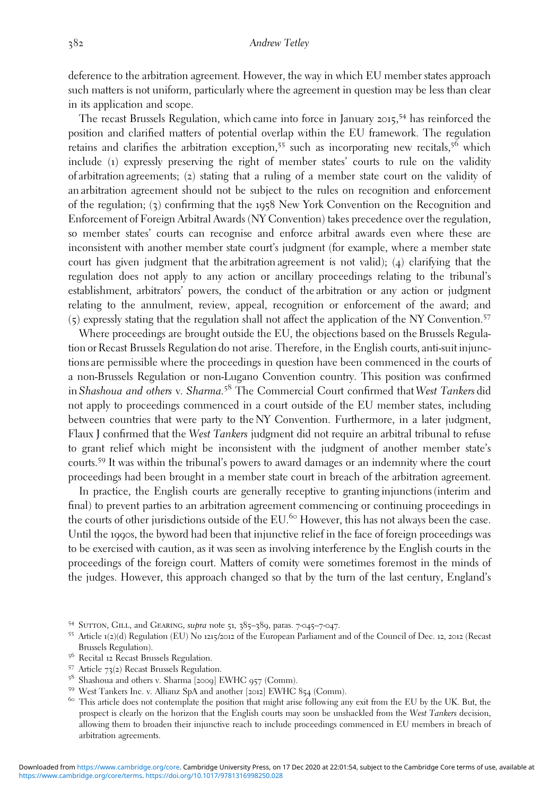deference to the arbitration agreement. However, the way in which EU member states approach such matters is not uniform, particularly where the agreement in question may be less than clear in its application and scope.

The recast Brussels Regulation, which came into force in January 2015, <sup>54</sup> has reinforced the position and clarified matters of potential overlap within the EU framework. The regulation retains and clarifies the arbitration exception,<sup>55</sup> such as incorporating new recitals,<sup>56</sup> which include (1) expressly preserving the right of member states' courts to rule on the validity of arbitration agreements; (2) stating that a ruling of a member state court on the validity of an arbitration agreement should not be subject to the rules on recognition and enforcement of the regulation; (3) confirming that the 1958 New York Convention on the Recognition and Enforcement of Foreign Arbitral Awards (NY Convention) takes precedence over the regulation, so member states' courts can recognise and enforce arbitral awards even where these are inconsistent with another member state court's judgment (for example, where a member state court has given judgment that the arbitration agreement is not valid); (4) clarifying that the regulation does not apply to any action or ancillary proceedings relating to the tribunal's establishment, arbitrators' powers, the conduct of the arbitration or any action or judgment relating to the annulment, review, appeal, recognition or enforcement of the award; and (5) expressly stating that the regulation shall not affect the application of the NY Convention.<sup>57</sup>

Where proceedings are brought outside the EU, the objections based on the Brussels Regulation or Recast Brussels Regulation do not arise. Therefore, in the English courts, anti-suit injunctions are permissible where the proceedings in question have been commenced in the courts of a non-Brussels Regulation or non-Lugano Convention country. This position was confirmed in Shashoua and others v. Sharma.<sup>58</sup> The Commercial Court confirmed that West Tankers did not apply to proceedings commenced in a court outside of the EU member states, including between countries that were party to the NY Convention. Furthermore, in a later judgment, Flaux J confirmed that the West Tankers judgment did not require an arbitral tribunal to refuse to grant relief which might be inconsistent with the judgment of another member state's courts.<sup>59</sup> It was within the tribunal's powers to award damages or an indemnity where the court proceedings had been brought in a member state court in breach of the arbitration agreement.

In practice, the English courts are generally receptive to granting injunctions (interim and final) to prevent parties to an arbitration agreement commencing or continuing proceedings in the courts of other jurisdictions outside of the EU.<sup>60</sup> However, this has not always been the case. Until the 1990s, the byword had been that injunctive relief in the face of foreign proceedings was to be exercised with caution, as it was seen as involving interference by the English courts in the proceedings of the foreign court. Matters of comity were sometimes foremost in the minds of the judges. However, this approach changed so that by the turn of the last century, England's

<sup>&</sup>lt;sup>54</sup> SUTTON, GILL, and GEARING, *supra* note 51, 385–389, paras. 7-045–7-047.<br><sup>55</sup> Article 1(2)(d) Regulation (EU) No 1215/2012 of the European Parliament and of the Council of Dec. 12, 2012 (Recast Brussels Regulation).

<sup>&</sup>lt;sup>56</sup> Recital 12 Recast Brussels Regulation.<br><sup>57</sup> Article 73(2) Recast Brussels Regulation.<br><sup>58</sup> Shashoua and others v. Sharma [2009] EWHC 957 (Comm).

<sup>&</sup>lt;sup>59</sup> West Tankers Inc. v. Allianz SpA and another [2012] EWHC 854 (Comm).<br><sup>60</sup> This article does not contemplate the position that might arise following any exit from the EU by the UK. But, the prospect is clearly on the horizon that the English courts may soon be unshackled from the West Tankers decision, allowing them to broaden their injunctive reach to include proceedings commenced in EU members in breach of arbitration agreements.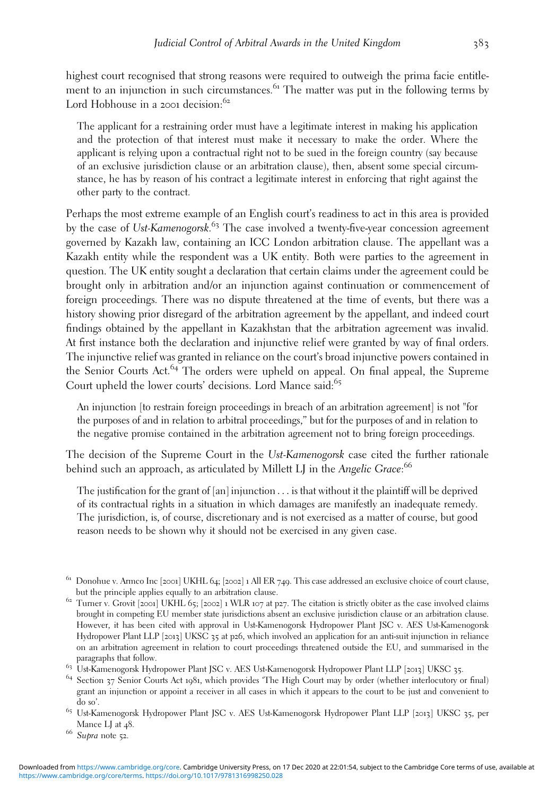highest court recognised that strong reasons were required to outweigh the prima facie entitlement to an injunction in such circumstances.<sup>61</sup> The matter was put in the following terms by Lord Hobhouse in a 2001 decision:<sup>62</sup>

The applicant for a restraining order must have a legitimate interest in making his application and the protection of that interest must make it necessary to make the order. Where the applicant is relying upon a contractual right not to be sued in the foreign country (say because of an exclusive jurisdiction clause or an arbitration clause), then, absent some special circumstance, he has by reason of his contract a legitimate interest in enforcing that right against the other party to the contract.

Perhaps the most extreme example of an English court's readiness to act in this area is provided by the case of Ust-Kamenogorsk.<sup>63</sup> The case involved a twenty-five-year concession agreement governed by Kazakh law, containing an ICC London arbitration clause. The appellant was a Kazakh entity while the respondent was a UK entity. Both were parties to the agreement in question. The UK entity sought a declaration that certain claims under the agreement could be brought only in arbitration and/or an injunction against continuation or commencement of foreign proceedings. There was no dispute threatened at the time of events, but there was a history showing prior disregard of the arbitration agreement by the appellant, and indeed court findings obtained by the appellant in Kazakhstan that the arbitration agreement was invalid. At first instance both the declaration and injunctive relief were granted by way of final orders. The injunctive relief was granted in reliance on the court's broad injunctive powers contained in the Senior Courts Act.<sup>64</sup> The orders were upheld on appeal. On final appeal, the Supreme Court upheld the lower courts' decisions. Lord Mance said:<sup>65</sup>

An injunction [to restrain foreign proceedings in breach of an arbitration agreement] is not "for the purposes of and in relation to arbitral proceedings," but for the purposes of and in relation to the negative promise contained in the arbitration agreement not to bring foreign proceedings.

The decision of the Supreme Court in the Ust-Kamenogorsk case cited the further rationale behind such an approach, as articulated by Millett LJ in the Angelic Grace:<sup>66</sup>

The justification for the grant of  $[an]$  injunction  $\ldots$  is that without it the plaintiff will be deprived of its contractual rights in a situation in which damages are manifestly an inadequate remedy. The jurisdiction, is, of course, discretionary and is not exercised as a matter of course, but good reason needs to be shown why it should not be exercised in any given case.

grant an injunction or appoint a receiver in all cases in which it appears to the court to be just and convenient to do so'. <sup>65</sup> Ust-Kamenogorsk Hydropower Plant JSC v. AES Ust-Kamenogorsk Hydropower Plant LLP [2013] UKSC <sup>35</sup>, per

<sup>&</sup>lt;sup>61</sup> Donohue v. Armco Inc [2001] UKHL 64; [2002] 1 All ER 749. This case addressed an exclusive choice of court clause, but the principle applies equally to an arbitration clause.

 $\frac{1}{200}$  Turner v. Grovit [2001] UKHL 65; [2002] 1 WLR 107 at p27. The citation is strictly obiter as the case involved claims brought in competing EU member state jurisdictions absent an exclusive jurisdiction clause or an arbitration clause. However, it has been cited with approval in Ust-Kamenogorsk Hydropower Plant JSC v. AES Ust-Kamenogorsk Hydropower Plant LLP [2013] UKSC 35 at p26, which involved an application for an anti-suit injunction in reliance on an arbitration agreement in relation to court proceedings threatened outside the EU, and summarised in the paragraphs that follow.

 $^{63}$  Ust-Kamenogorsk Hydropower Plant JSC v. AES Ust-Kamenogorsk Hydropower Plant LLP [2013] UKSC 35. 64 Section 37 Senior Courts Act 1981, which provides 'The High Court may by order (whether interlocutory or final)

Mance LJ at 48.<br>66 Supra note 52.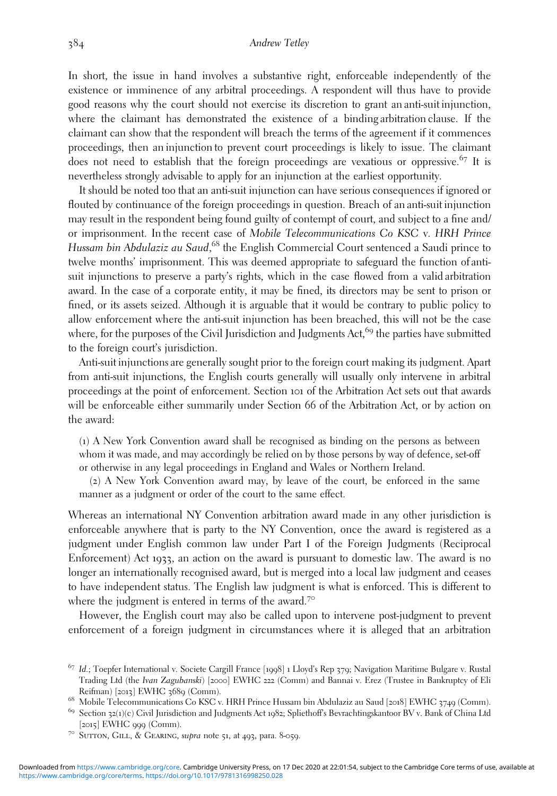In short, the issue in hand involves a substantive right, enforceable independently of the existence or imminence of any arbitral proceedings. A respondent will thus have to provide good reasons why the court should not exercise its discretion to grant an anti-suit injunction, where the claimant has demonstrated the existence of a binding arbitration clause. If the claimant can show that the respondent will breach the terms of the agreement if it commences proceedings, then an injunction to prevent court proceedings is likely to issue. The claimant does not need to establish that the foreign proceedings are vexatious or oppressive.<sup>67</sup> It is nevertheless strongly advisable to apply for an injunction at the earliest opportunity.

It should be noted too that an anti-suit injunction can have serious consequences if ignored or flouted by continuance of the foreign proceedings in question. Breach of an anti-suit injunction may result in the respondent being found guilty of contempt of court, and subject to a fine and/ or imprisonment. In the recent case of Mobile Telecommunications Co KSC v. HRH Prince Hussam bin Abdulaziz au Saud,<sup>68</sup> the English Commercial Court sentenced a Saudi prince to twelve months' imprisonment. This was deemed appropriate to safeguard the function of antisuit injunctions to preserve a party's rights, which in the case flowed from a valid arbitration award. In the case of a corporate entity, it may be fined, its directors may be sent to prison or fined, or its assets seized. Although it is arguable that it would be contrary to public policy to allow enforcement where the anti-suit injunction has been breached, this will not be the case where, for the purposes of the Civil Jurisdiction and Judgments Act,<sup>69</sup> the parties have submitted to the foreign court's jurisdiction.

Anti-suit injunctions are generally sought prior to the foreign court making its judgment. Apart from anti-suit injunctions, the English courts generally will usually only intervene in arbitral proceedings at the point of enforcement. Section 101 of the Arbitration Act sets out that awards will be enforceable either summarily under Section 66 of the Arbitration Act, or by action on the award:

(1) A New York Convention award shall be recognised as binding on the persons as between whom it was made, and may accordingly be relied on by those persons by way of defence, set-off or otherwise in any legal proceedings in England and Wales or Northern Ireland.

(2) A New York Convention award may, by leave of the court, be enforced in the same manner as a judgment or order of the court to the same effect.

Whereas an international NY Convention arbitration award made in any other jurisdiction is enforceable anywhere that is party to the NY Convention, once the award is registered as a judgment under English common law under Part I of the Foreign Judgments (Reciprocal Enforcement) Act 1933, an action on the award is pursuant to domestic law. The award is no longer an internationally recognised award, but is merged into a local law judgment and ceases to have independent status. The English law judgment is what is enforced. This is different to where the judgment is entered in terms of the award.<sup>70</sup>

However, the English court may also be called upon to intervene post-judgment to prevent enforcement of a foreign judgment in circumstances where it is alleged that an arbitration

<sup>67</sup> Id.; Toepfer International v. Societe Cargill France [1998] <sup>1</sup> Lloyd's Rep <sup>379</sup>; Navigation Maritime Bulgare v. Rustal Trading Ltd (the Ivan Zagubanski) [2000] EWHC 222 (Comm) and Bannai v. Erez (Trustee in Bankruptcy of Eli<br>Reifman) [2013] EWHC 3689 (Comm).

<sup>&</sup>lt;sup>68</sup> Mobile Telecommunications Co KSC v. HRH Prince Hussam bin Abdulaziz au Saud [2018] EWHC 3749 (Comm).

<sup>&</sup>lt;sup>69</sup> Section 32(1)(c) Civil Jurisdiction and Judgments Act 1982; Spliethoff's Bevrachtingskantoor BV v. Bank of China Ltd [2015] EWHC 999 (Comm).<br><sup>70</sup> SUTTON, GILL, & GEARING, *supra* note 51, at 493, para. 8-059.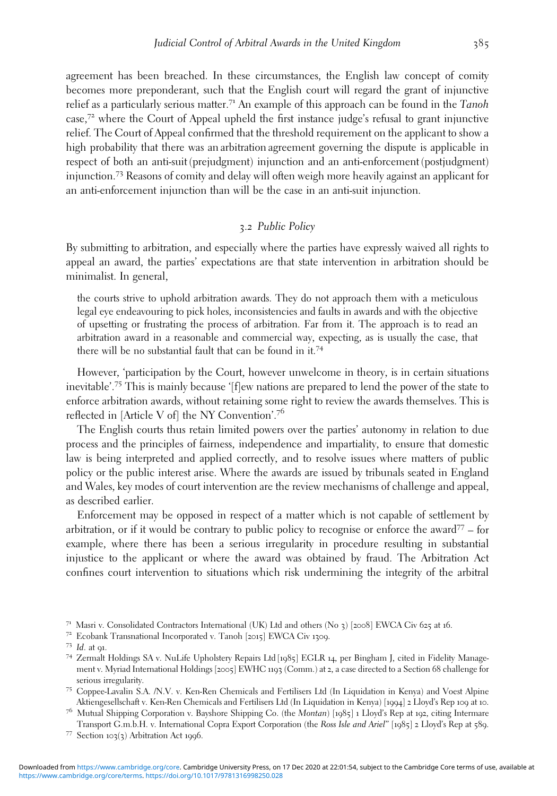agreement has been breached. In these circumstances, the English law concept of comity becomes more preponderant, such that the English court will regard the grant of injunctive relief as a particularly serious matter.<sup>71</sup> An example of this approach can be found in the Tanoh case,<sup>72</sup> where the Court of Appeal upheld the first instance judge's refusal to grant injunctive relief. The Court of Appeal confirmed that the threshold requirement on the applicant to show a high probability that there was an arbitration agreement governing the dispute is applicable in respect of both an anti-suit (prejudgment) injunction and an anti-enforcement (postjudgment) injunction.<sup>73</sup> Reasons of comity and delay will often weigh more heavily against an applicant for an anti-enforcement injunction than will be the case in an anti-suit injunction.

# *3*.*2* Public Policy

By submitting to arbitration, and especially where the parties have expressly waived all rights to appeal an award, the parties' expectations are that state intervention in arbitration should be minimalist. In general,

the courts strive to uphold arbitration awards. They do not approach them with a meticulous legal eye endeavouring to pick holes, inconsistencies and faults in awards and with the objective of upsetting or frustrating the process of arbitration. Far from it. The approach is to read an arbitration award in a reasonable and commercial way, expecting, as is usually the case, that there will be no substantial fault that can be found in it.<sup>74</sup>

However, 'participation by the Court, however unwelcome in theory, is in certain situations inevitable'. <sup>75</sup> This is mainly because '[f]ew nations are prepared to lend the power of the state to enforce arbitration awards, without retaining some right to review the awards themselves. This is reflected in [Article V of] the NY Convention'. 76

The English courts thus retain limited powers over the parties' autonomy in relation to due process and the principles of fairness, independence and impartiality, to ensure that domestic law is being interpreted and applied correctly, and to resolve issues where matters of public policy or the public interest arise. Where the awards are issued by tribunals seated in England and Wales, key modes of court intervention are the review mechanisms of challenge and appeal, as described earlier.

Enforcement may be opposed in respect of a matter which is not capable of settlement by arbitration, or if it would be contrary to public policy to recognise or enforce the award $77 -$  for example, where there has been a serious irregularity in procedure resulting in substantial injustice to the applicant or where the award was obtained by fraud. The Arbitration Act confines court intervention to situations which risk undermining the integrity of the arbitral

- <sup>71</sup> Masri v. Consolidated Contractors International (UK) Ltd and others (No 3) [2008] EWCA Civ 625 at 16.<br><sup>72</sup> Ecobank Transnational Incorporated v. Tanoh [2015] EWCA Civ 1309.<br><sup>73</sup> Id. at 91.<br><sup>74</sup> Zermalt Holdings SA v.
- 
- ment v. Myriad International Holdings [2005] EWHC 1193 (Comm.) at 2, a case directed to a Section 68 challenge for
- serious irregularity.<br><sup>75</sup> Coppee-Lavalin S.A. /N.V. v. Ken-Ren Chemicals and Fertilisers Ltd (In Liquidation in Kenya) and Voest Alpine<br>Aktiengesellschaft v. Ken-Ren Chemicals and Fertilisers Ltd (In Liquidation in Kenya)
- <sup>76</sup> Mutual Shipping Corporation v. Bayshore Shipping Co. (the Montan) [1985] 1 Lloyd's Rep at 192, citing Intermare Transport G.m.b.H. v. International Copra Export Corporation (the Ross Isle and Ariel" [1985] 2 Lloyd's Rep at 589.<br><sup>77</sup> Section 103(3) Arbitration Act 1996.
-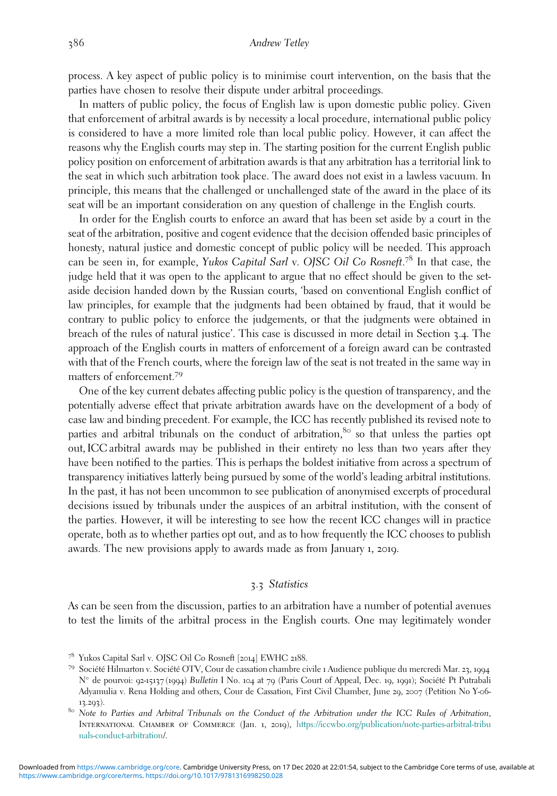process. A key aspect of public policy is to minimise court intervention, on the basis that the parties have chosen to resolve their dispute under arbitral proceedings.

In matters of public policy, the focus of English law is upon domestic public policy. Given that enforcement of arbitral awards is by necessity a local procedure, international public policy is considered to have a more limited role than local public policy. However, it can affect the reasons why the English courts may step in. The starting position for the current English public policy position on enforcement of arbitration awards is that any arbitration has a territorial link to the seat in which such arbitration took place. The award does not exist in a lawless vacuum. In principle, this means that the challenged or unchallenged state of the award in the place of its seat will be an important consideration on any question of challenge in the English courts.

In order for the English courts to enforce an award that has been set aside by a court in the seat of the arbitration, positive and cogent evidence that the decision offended basic principles of honesty, natural justice and domestic concept of public policy will be needed. This approach can be seen in, for example, Yukos Capital Sarl v. OJSC Oil Co Rosneft.<sup>78</sup> In that case, the judge held that it was open to the applicant to argue that no effect should be given to the setaside decision handed down by the Russian courts, 'based on conventional English conflict of law principles, for example that the judgments had been obtained by fraud, that it would be contrary to public policy to enforce the judgements, or that the judgments were obtained in breach of the rules of natural justice'. This case is discussed in more detail in Section 3.4. The approach of the English courts in matters of enforcement of a foreign award can be contrasted with that of the French courts, where the foreign law of the seat is not treated in the same way in matters of enforcement.<sup>79</sup>

One of the key current debates affecting public policy is the question of transparency, and the potentially adverse effect that private arbitration awards have on the development of a body of case law and binding precedent. For example, the ICC has recently published its revised note to parties and arbitral tribunals on the conduct of arbitration, $80$  so that unless the parties opt out, ICC arbitral awards may be published in their entirety no less than two years after they have been notified to the parties. This is perhaps the boldest initiative from across a spectrum of transparency initiatives latterly being pursued by some of the world's leading arbitral institutions. In the past, it has not been uncommon to see publication of anonymised excerpts of procedural decisions issued by tribunals under the auspices of an arbitral institution, with the consent of the parties. However, it will be interesting to see how the recent ICC changes will in practice operate, both as to whether parties opt out, and as to how frequently the ICC chooses to publish awards. The new provisions apply to awards made as from January 1, 2019.

# *3*.*3* Statistics

As can be seen from the discussion, parties to an arbitration have a number of potential avenues to test the limits of the arbitral process in the English courts. One may legitimately wonder

<sup>78</sup> Yukos Capital Sarl v. OJSC Oil Co Rosneft [2014] EWHC <sup>2188</sup>. <sup>79</sup> Société Hilmarton v. Société OTV, Cour de cassation chambre civile <sup>1</sup> Audience publique du mercredi Mar. <sup>23</sup>, <sup>1994</sup> N° de pourvoi: 92-15137 (1994) Bulletin I No. 104 at 79 (Paris Court of Appeal, Dec. 19, 1991); Société Pt Putrabali Adyamulia v. Rena Holding and others, Cour de Cassation, First Civil Chamber, June 29, 2007 (Petition No Y-06-

13.293).  $\frac{13.293}{8}$  Note to Parties and Arbitral Tribunals on the Conduct of the Arbitration under the ICC Rules of Arbitration, International Chamber of Commerce (Jan. 1, 2019), [https://iccwbo.org/publication/note-parties-arbitral-tribu](https://iccwbo.org/publication/note-parties-arbitral-tribunals-conduct-arbitration) [nals-conduct-arbitration](https://iccwbo.org/publication/note-parties-arbitral-tribunals-conduct-arbitration)/.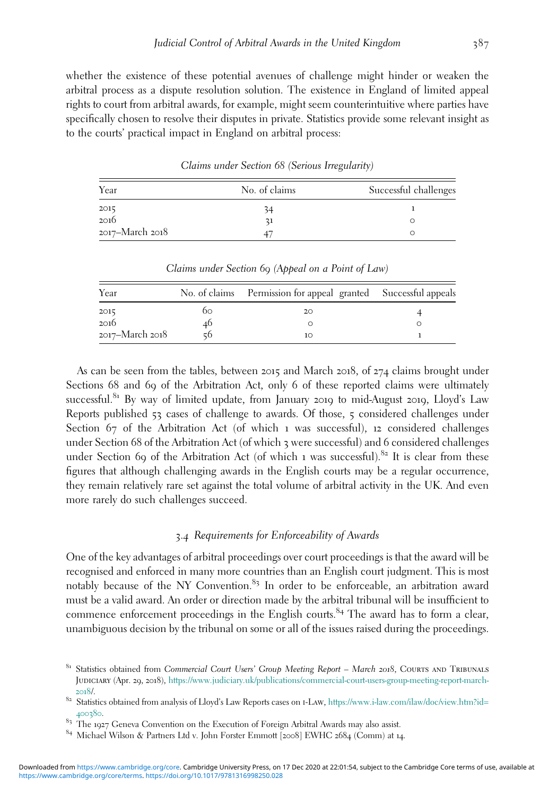whether the existence of these potential avenues of challenge might hinder or weaken the arbitral process as a dispute resolution solution. The existence in England of limited appeal rights to court from arbitral awards, for example, might seem counterintuitive where parties have specifically chosen to resolve their disputes in private. Statistics provide some relevant insight as to the courts' practical impact in England on arbitral process:

| Year                | No. of claims | Successful challenges |
|---------------------|---------------|-----------------------|
|                     |               |                       |
| $\frac{2015}{2016}$ |               |                       |
| 2017–March 2018     |               |                       |

Claims under Section *68* (Serious Irregularity)

| Year            |    | No. of claims Permission for appeal granted Successful appeals |  |
|-----------------|----|----------------------------------------------------------------|--|
| 2015            | 60 | 20                                                             |  |
| 2016            | 40 |                                                                |  |
| 2017–March 2018 |    | 10                                                             |  |

Claims under Section *69* (Appeal on a Point of Law)

As can be seen from the tables, between 2015 and March 2018, of 274 claims brought under Sections 68 and 69 of the Arbitration Act, only 6 of these reported claims were ultimately successful.<sup>81</sup> By way of limited update, from January 2019 to mid-August 2019, Lloyd's Law Reports published 53 cases of challenge to awards. Of those, 5 considered challenges under Section 67 of the Arbitration Act (of which 1 was successful), 12 considered challenges under Section 68 of the Arbitration Act (of which 3 were successful) and 6 considered challenges under Section 69 of the Arbitration Act (of which 1 was successful).<sup>82</sup> It is clear from these figures that although challenging awards in the English courts may be a regular occurrence, they remain relatively rare set against the total volume of arbitral activity in the UK. And even more rarely do such challenges succeed.

# *3*.*4* Requirements for Enforceability of Awards

One of the key advantages of arbitral proceedings over court proceedings is that the award will be recognised and enforced in many more countries than an English court judgment. This is most notably because of the NY Convention.<sup>83</sup> In order to be enforceable, an arbitration award must be a valid award. An order or direction made by the arbitral tribunal will be insufficient to commence enforcement proceedings in the English courts.<sup>84</sup> The award has to form a clear, unambiguous decision by the tribunal on some or all of the issues raised during the proceedings.

<sup>&</sup>lt;sup>81</sup> Statistics obtained from Commercial Court Users' Group Meeting Report - March 2018, COURTS AND TRIBUNALS Judiciary (Apr. 29, 2018), [https://www.judiciary.uk/publications/commercial-court-users-group-meeting-report-march-](https://www.judiciary.uk/publications/commercial-court-users-group-meeting-report-march-2018)[2018](https://www.judiciary.uk/publications/commercial-court-users-group-meeting-report-march-2018)/. 82 Statistics obtained from analysis of Lloyd's Law Reports cases on I-LAW, [https://www.i-law.com/ilaw/doc/view.htm?id=](https://www.i-law.com/ilaw/doc/view.htm?id=400380)

 $400380$ .<br><sup>83</sup> The 1927 Geneva Convention on the Execution of Foreign Arbitral Awards may also assist.

 $84$  Michael Wilson & Partners Ltd v. John Forster Emmott [2008] EWHC 2684 (Comm) at 14.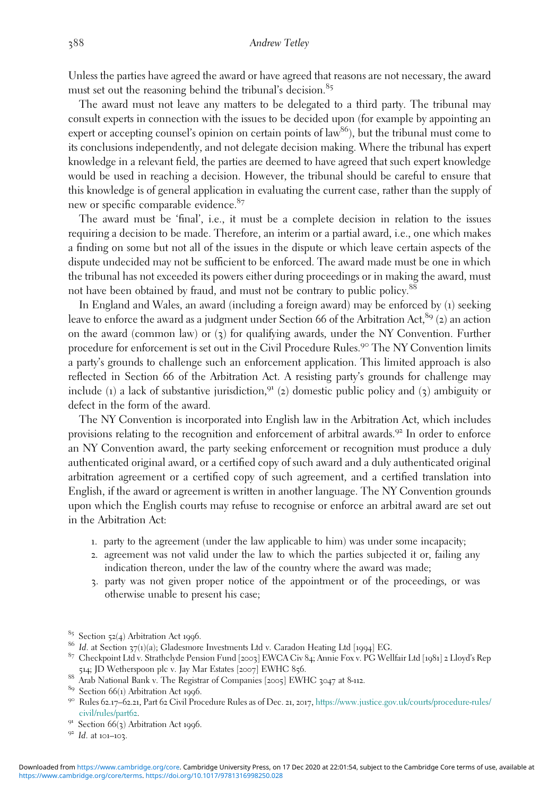Unless the parties have agreed the award or have agreed that reasons are not necessary, the award must set out the reasoning behind the tribunal's decision.<sup>85</sup>

The award must not leave any matters to be delegated to a third party. The tribunal may consult experts in connection with the issues to be decided upon (for example by appointing an expert or accepting counsel's opinion on certain points of  $law^{86}$ ), but the tribunal must come to its conclusions independently, and not delegate decision making. Where the tribunal has expert knowledge in a relevant field, the parties are deemed to have agreed that such expert knowledge would be used in reaching a decision. However, the tribunal should be careful to ensure that this knowledge is of general application in evaluating the current case, rather than the supply of new or specific comparable evidence.<sup>87</sup>

The award must be 'final', i.e., it must be a complete decision in relation to the issues requiring a decision to be made. Therefore, an interim or a partial award, i.e., one which makes a finding on some but not all of the issues in the dispute or which leave certain aspects of the dispute undecided may not be sufficient to be enforced. The award made must be one in which the tribunal has not exceeded its powers either during proceedings or in making the award, must not have been obtained by fraud, and must not be contrary to public policy.<sup>88</sup>

In England and Wales, an award (including a foreign award) may be enforced by (1) seeking leave to enforce the award as a judgment under Section 66 of the Arbitration Act,  $89$  (2) an action on the award (common law) or  $(3)$  for qualifying awards, under the NY Convention. Further procedure for enforcement is set out in the Civil Procedure Rules.<sup>90</sup> The NY Convention limits a party's grounds to challenge such an enforcement application. This limited approach is also reflected in Section 66 of the Arbitration Act. A resisting party's grounds for challenge may include (1) a lack of substantive jurisdiction,  $91$  (2) domestic public policy and (3) ambiguity or defect in the form of the award.

The NY Convention is incorporated into English law in the Arbitration Act, which includes provisions relating to the recognition and enforcement of arbitral awards.<sup>92</sup> In order to enforce an NY Convention award, the party seeking enforcement or recognition must produce a duly authenticated original award, or a certified copy of such award and a duly authenticated original arbitration agreement or a certified copy of such agreement, and a certified translation into English, if the award or agreement is written in another language. The NY Convention grounds upon which the English courts may refuse to recognise or enforce an arbitral award are set out in the Arbitration Act:

- 1. party to the agreement (under the law applicable to him) was under some incapacity;
- 2. agreement was not valid under the law to which the parties subjected it or, failing any indication thereon, under the law of the country where the award was made;
- 3. party was not given proper notice of the appointment or of the proceedings, or was otherwise unable to present his case;

- 
- 
- 88 Arab National Bank v. The Registrar of Companies [2005] EWHC 3047 at 8-112.<br>
<sup>89</sup> Section 66(1) Arbitration Act 1996.<br>
<sup>90</sup> Rules 62.17–62.21, Part 62 Civil Procedure Rules as of Dec. 21, 2017, https://www.justice.gov.
- [civil/rules/part](https://www.justice.gov.uk/courts/procedure-rules/civil/rules/part62)62.<br><sup>91</sup> Section 66(3) Arbitration Act 1996.<br><sup>92</sup> Id. at 101–103.
- 

<sup>&</sup>lt;sup>85</sup> Section 52(4) Arbitration Act 1996.<br><sup>86</sup> Id. at Section 37(1)(a); Gladesmore Investments Ltd v. Caradon Heating Ltd [1994] EG.

<sup>&</sup>lt;sup>87</sup> Checkpoint Ltd v. Strathclyde Pension Fund [2003] EWCA Civ 84; Annie Fox v. PG Wellfair Ltd [1981] 2 Lloyd's Rep<br>514; JD Wetherspoon plc v. Jay Mar Estates [2007] EWHC 856.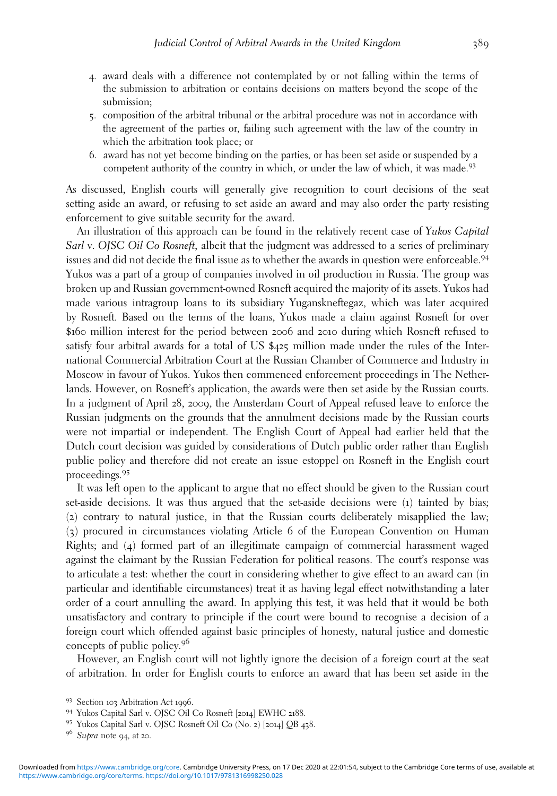- 4. award deals with a difference not contemplated by or not falling within the terms of the submission to arbitration or contains decisions on matters beyond the scope of the submission;
- 5. composition of the arbitral tribunal or the arbitral procedure was not in accordance with the agreement of the parties or, failing such agreement with the law of the country in which the arbitration took place; or
- 6. award has not yet become binding on the parties, or has been set aside or suspended by a competent authority of the country in which, or under the law of which, it was made.<sup>93</sup>

As discussed, English courts will generally give recognition to court decisions of the seat setting aside an award, or refusing to set aside an award and may also order the party resisting enforcement to give suitable security for the award.

An illustration of this approach can be found in the relatively recent case of Yukos Capital Sarl v. OJSC Oil Co Rosneft, albeit that the judgment was addressed to a series of preliminary issues and did not decide the final issue as to whether the awards in question were enforceable.<sup>94</sup> Yukos was a part of a group of companies involved in oil production in Russia. The group was broken up and Russian government-owned Rosneft acquired the majority of its assets. Yukos had made various intragroup loans to its subsidiary Yuganskneftegaz, which was later acquired by Rosneft. Based on the terms of the loans, Yukos made a claim against Rosneft for over \$160 million interest for the period between 2006 and 2010 during which Rosneft refused to satisfy four arbitral awards for a total of US \$425 million made under the rules of the International Commercial Arbitration Court at the Russian Chamber of Commerce and Industry in Moscow in favour of Yukos. Yukos then commenced enforcement proceedings in The Netherlands. However, on Rosneft's application, the awards were then set aside by the Russian courts. In a judgment of April 28, 2009, the Amsterdam Court of Appeal refused leave to enforce the Russian judgments on the grounds that the annulment decisions made by the Russian courts were not impartial or independent. The English Court of Appeal had earlier held that the Dutch court decision was guided by considerations of Dutch public order rather than English public policy and therefore did not create an issue estoppel on Rosneft in the English court proceedings.<sup>95</sup>

It was left open to the applicant to argue that no effect should be given to the Russian court set-aside decisions. It was thus argued that the set-aside decisions were (1) tainted by bias; (2) contrary to natural justice, in that the Russian courts deliberately misapplied the law; (3) procured in circumstances violating Article 6 of the European Convention on Human Rights; and (4) formed part of an illegitimate campaign of commercial harassment waged against the claimant by the Russian Federation for political reasons. The court's response was to articulate a test: whether the court in considering whether to give effect to an award can (in particular and identifiable circumstances) treat it as having legal effect notwithstanding a later order of a court annulling the award. In applying this test, it was held that it would be both unsatisfactory and contrary to principle if the court were bound to recognise a decision of a foreign court which offended against basic principles of honesty, natural justice and domestic concepts of public policy.<sup>96</sup>

However, an English court will not lightly ignore the decision of a foreign court at the seat of arbitration. In order for English courts to enforce an award that has been set aside in the

<sup>93</sup> Section 103 Arbitration Act 1996.<br>94 Yukos Capital Sarl v. OJSC Oil Co Rosneft [2014] EWHC 2188.<br>95 Yukos Capital Sarl v. OJSC Rosneft Oil Co (No. 2) [2014] QB 438.<br>96 *Supra* note 94, at 20.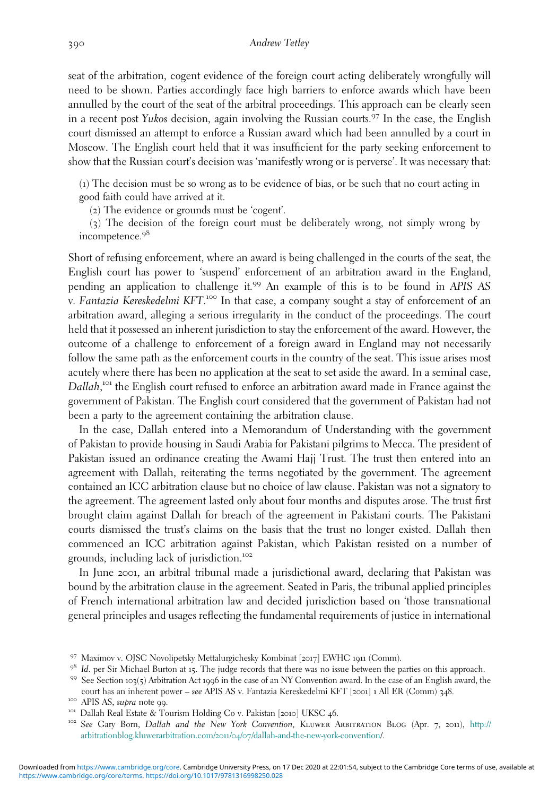seat of the arbitration, cogent evidence of the foreign court acting deliberately wrongfully will need to be shown. Parties accordingly face high barriers to enforce awards which have been annulled by the court of the seat of the arbitral proceedings. This approach can be clearly seen in a recent post Yukos decision, again involving the Russian courts.<sup>97</sup> In the case, the English court dismissed an attempt to enforce a Russian award which had been annulled by a court in Moscow. The English court held that it was insufficient for the party seeking enforcement to show that the Russian court's decision was 'manifestly wrong or is perverse'. It was necessary that:

(1) The decision must be so wrong as to be evidence of bias, or be such that no court acting in good faith could have arrived at it.

(2) The evidence or grounds must be 'cogent'.

(3) The decision of the foreign court must be deliberately wrong, not simply wrong by incompetence.<sup>98</sup>

Short of refusing enforcement, where an award is being challenged in the courts of the seat, the English court has power to 'suspend' enforcement of an arbitration award in the England, pending an application to challenge it.<sup>99</sup> An example of this is to be found in APIS AS .<br>v. Fantazia Kereskedelmi KFT.<sup>1∞</sup> In that case, a company sought a stay of enforcement of an arbitration award, alleging a serious irregularity in the conduct of the proceedings. The court held that it possessed an inherent jurisdiction to stay the enforcement of the award. However, the outcome of a challenge to enforcement of a foreign award in England may not necessarily follow the same path as the enforcement courts in the country of the seat. This issue arises most acutely where there has been no application at the seat to set aside the award. In a seminal case, Dallah,<sup>101</sup> the English court refused to enforce an arbitration award made in France against the government of Pakistan. The English court considered that the government of Pakistan had not been a party to the agreement containing the arbitration clause.

In the case, Dallah entered into a Memorandum of Understanding with the government of Pakistan to provide housing in Saudi Arabia for Pakistani pilgrims to Mecca. The president of Pakistan issued an ordinance creating the Awami Hajj Trust. The trust then entered into an agreement with Dallah, reiterating the terms negotiated by the government. The agreement contained an ICC arbitration clause but no choice of law clause. Pakistan was not a signatory to the agreement. The agreement lasted only about four months and disputes arose. The trust first brought claim against Dallah for breach of the agreement in Pakistani courts. The Pakistani courts dismissed the trust's claims on the basis that the trust no longer existed. Dallah then commenced an ICC arbitration against Pakistan, which Pakistan resisted on a number of grounds, including lack of jurisdiction.<sup>102</sup>

In June 2001, an arbitral tribunal made a jurisdictional award, declaring that Pakistan was bound by the arbitration clause in the agreement. Seated in Paris, the tribunal applied principles of French international arbitration law and decided jurisdiction based on 'those transnational general principles and usages reflecting the fundamental requirements of justice in international

<sup>97</sup> Maximov v. OJSC Novolipetsky Mettalurgichesky Kombinat [2017] EWHC <sup>1911</sup> (Comm).

<sup>&</sup>lt;sup>98</sup> Id. per Sir Michael Burton at 15. The judge records that there was no issue between the parties on this approach.<br><sup>99</sup> See Section 103(5) Arbitration Act 1996 in the case of an NY Convention award. In the case of an

<sup>&</sup>lt;sup>100</sup> APIS AS, *supra* note 99.<br><sup>101</sup> Dallah Real Estate & Tourism Holding Co v. Pakistan [2010] UKSC 46.<br><sup>102</sup> See Gary Born, *Dallah and the New York Convention*, KLUWER ARBITRATION BLOG (Apr. 7, 2011), [http://](http://arbitrationblog.kluwerarbitration.com/2011/04/07/dallah-and-the-new-york-convention) [arbitrationblog.kluwerarbitration.com/](http://arbitrationblog.kluwerarbitration.com/2011/04/07/dallah-and-the-new-york-convention)2011/04/07/dallah-and-the-new-york-convention/.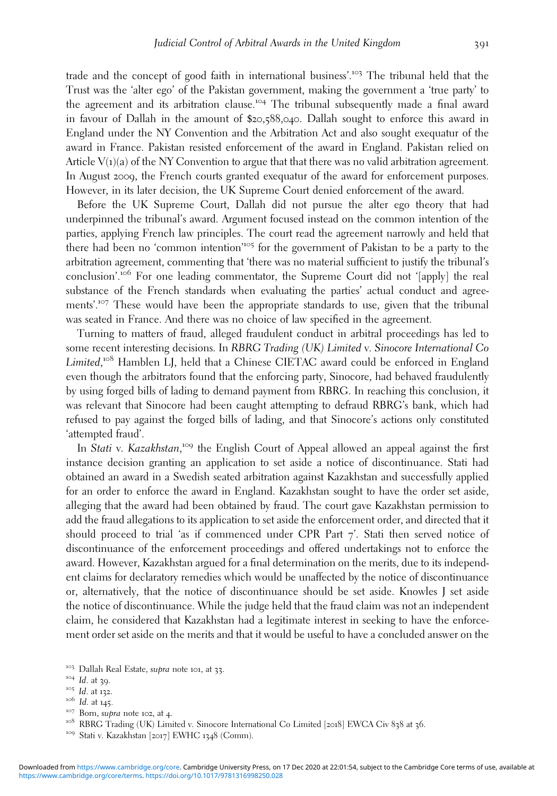trade and the concept of good faith in international business'.<sup>103</sup> The tribunal held that the Trust was the 'alter ego' of the Pakistan government, making the government a 'true party' to the agreement and its arbitration clause.<sup>104</sup> The tribunal subsequently made a final award in favour of Dallah in the amount of \$20,588,040. Dallah sought to enforce this award in England under the NY Convention and the Arbitration Act and also sought exequatur of the award in France. Pakistan resisted enforcement of the award in England. Pakistan relied on Article  $V(1)(a)$  of the NY Convention to argue that that there was no valid arbitration agreement. In August 2009, the French courts granted exequatur of the award for enforcement purposes. However, in its later decision, the UK Supreme Court denied enforcement of the award.

Before the UK Supreme Court, Dallah did not pursue the alter ego theory that had underpinned the tribunal's award. Argument focused instead on the common intention of the parties, applying French law principles. The court read the agreement narrowly and held that there had been no 'common intention<sup>105</sup> for the government of Pakistan to be a party to the arbitration agreement, commenting that 'there was no material sufficient to justify the tribunal's conclusion'.<sup>106</sup> For one leading commentator, the Supreme Court did not '[apply] the real substance of the French standards when evaluating the parties' actual conduct and agreements'.<sup>107</sup> These would have been the appropriate standards to use, given that the tribunal was seated in France. And there was no choice of law specified in the agreement.

Turning to matters of fraud, alleged fraudulent conduct in arbitral proceedings has led to some recent interesting decisions. In RBRG Trading (UK) Limited v. Sinocore International Co Limited,<sup>108</sup> Hamblen LJ, held that a Chinese CIETAC award could be enforced in England even though the arbitrators found that the enforcing party, Sinocore, had behaved fraudulently by using forged bills of lading to demand payment from RBRG. In reaching this conclusion, it was relevant that Sinocore had been caught attempting to defraud RBRG's bank, which had refused to pay against the forged bills of lading, and that Sinocore's actions only constituted 'attempted fraud'.

In Stati v. Kazakhstan,<sup>109</sup> the English Court of Appeal allowed an appeal against the first instance decision granting an application to set aside a notice of discontinuance. Stati had obtained an award in a Swedish seated arbitration against Kazakhstan and successfully applied for an order to enforce the award in England. Kazakhstan sought to have the order set aside, alleging that the award had been obtained by fraud. The court gave Kazakhstan permission to add the fraud allegations to its application to set aside the enforcement order, and directed that it should proceed to trial 'as if commenced under CPR Part  $7'$ . Stati then served notice of discontinuance of the enforcement proceedings and offered undertakings not to enforce the award. However, Kazakhstan argued for a final determination on the merits, due to its independent claims for declaratory remedies which would be unaffected by the notice of discontinuance or, alternatively, that the notice of discontinuance should be set aside. Knowles J set aside the notice of discontinuance. While the judge held that the fraud claim was not an independent claim, he considered that Kazakhstan had a legitimate interest in seeking to have the enforcement order set aside on the merits and that it would be useful to have a concluded answer on the

- 
- 

<sup>&</sup>lt;sup>103</sup> Dallah Real Estate, *supra* note 101, at 33.<br><sup>104</sup> Id. at 39.<br><sup>105</sup> Id. at 132.<br><sup>105</sup> Id. at 145.<br><sup>107</sup> Born, *supra* note 102, at 4.<br><sup>107</sup> Born, *supra* note 102, at 4.<br><sup>108</sup> RBRG Trading (UK) Limited v. Sinocore I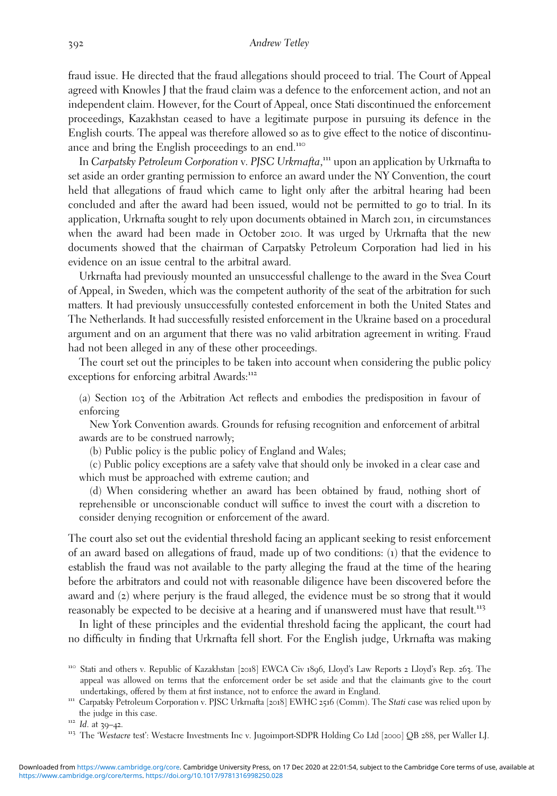fraud issue. He directed that the fraud allegations should proceed to trial. The Court of Appeal agreed with Knowles J that the fraud claim was a defence to the enforcement action, and not an independent claim. However, for the Court of Appeal, once Stati discontinued the enforcement proceedings, Kazakhstan ceased to have a legitimate purpose in pursuing its defence in the English courts. The appeal was therefore allowed so as to give effect to the notice of discontinuance and bring the English proceedings to an end.<sup>110</sup>

In Carpatsky Petroleum Corporation v. PJSC Urkrnafta,<sup>111</sup> upon an application by Urkrnafta to set aside an order granting permission to enforce an award under the NY Convention, the court held that allegations of fraud which came to light only after the arbitral hearing had been concluded and after the award had been issued, would not be permitted to go to trial. In its application, Urkrnafta sought to rely upon documents obtained in March 2011, in circumstances when the award had been made in October 2010. It was urged by Urkrnafta that the new documents showed that the chairman of Carpatsky Petroleum Corporation had lied in his evidence on an issue central to the arbitral award.

Urkrnafta had previously mounted an unsuccessful challenge to the award in the Svea Court of Appeal, in Sweden, which was the competent authority of the seat of the arbitration for such matters. It had previously unsuccessfully contested enforcement in both the United States and The Netherlands. It had successfully resisted enforcement in the Ukraine based on a procedural argument and on an argument that there was no valid arbitration agreement in writing. Fraud had not been alleged in any of these other proceedings.

The court set out the principles to be taken into account when considering the public policy exceptions for enforcing arbitral Awards:<sup>112</sup>

(a) Section 103 of the Arbitration Act reflects and embodies the predisposition in favour of enforcing

New York Convention awards. Grounds for refusing recognition and enforcement of arbitral awards are to be construed narrowly;

(b) Public policy is the public policy of England and Wales;

(c) Public policy exceptions are a safety valve that should only be invoked in a clear case and which must be approached with extreme caution; and

(d) When considering whether an award has been obtained by fraud, nothing short of reprehensible or unconscionable conduct will suffice to invest the court with a discretion to consider denying recognition or enforcement of the award.

The court also set out the evidential threshold facing an applicant seeking to resist enforcement of an award based on allegations of fraud, made up of two conditions: (1) that the evidence to establish the fraud was not available to the party alleging the fraud at the time of the hearing before the arbitrators and could not with reasonable diligence have been discovered before the award and (2) where perjury is the fraud alleged, the evidence must be so strong that it would reasonably be expected to be decisive at a hearing and if unanswered must have that result.<sup>113</sup>

In light of these principles and the evidential threshold facing the applicant, the court had no difficulty in finding that Urkrnafta fell short. For the English judge, Urkrnafta was making

<sup>110</sup> Stati and others v. Republic of Kazakhstan [2018] EWCA Civ <sup>1896</sup>, Lloyd's Law Reports <sup>2</sup> Lloyd's Rep. <sup>263</sup>. The appeal was allowed on terms that the enforcement order be set aside and that the claimants give to the court undertakings, offered by them at first instance, not to enforce the award in England.<br><sup>111</sup> Carpatsky Petroleum Corporation v. PJSC Urkrnafta [2018] EWHC 2516 (Comm). The Stati case was relied upon by

the judge in this case.<br><sup>112</sup> Id. at 39–42.<br><sup>113</sup> The 'Westacre test': Westacre Investments Inc v. Jugoimport-SDPR Holding Co Ltd [2000] QB 288, per Waller LJ.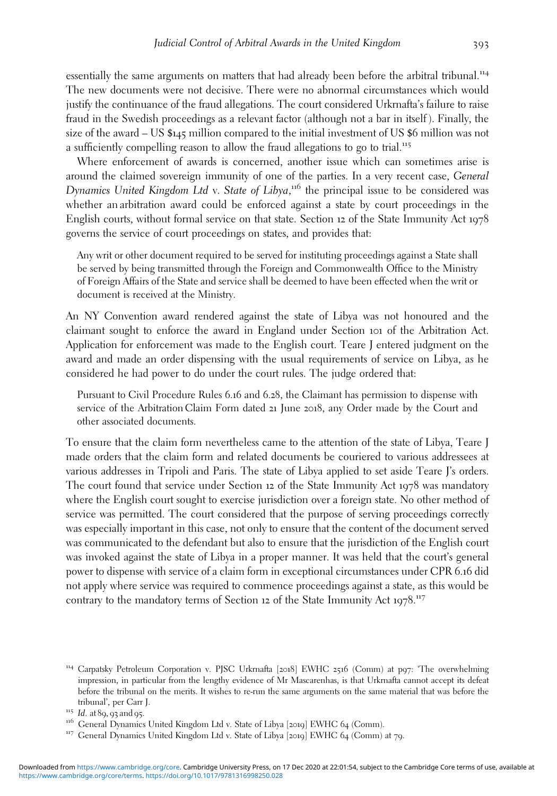essentially the same arguments on matters that had already been before the arbitral tribunal.<sup>114</sup> The new documents were not decisive. There were no abnormal circumstances which would justify the continuance of the fraud allegations. The court considered Urkrnafta's failure to raise fraud in the Swedish proceedings as a relevant factor (although not a bar in itself ). Finally, the size of the award – US \$145 million compared to the initial investment of US \$6 million was not a sufficiently compelling reason to allow the fraud allegations to go to trial.<sup>115</sup>

Where enforcement of awards is concerned, another issue which can sometimes arise is around the claimed sovereign immunity of one of the parties. In a very recent case, General Dynamics United Kingdom Ltd v. State of Libya,<sup>116</sup> the principal issue to be considered was whether an arbitration award could be enforced against a state by court proceedings in the English courts, without formal service on that state. Section 12 of the State Immunity Act 1978 governs the service of court proceedings on states, and provides that:

Any writ or other document required to be served for instituting proceedings against a State shall be served by being transmitted through the Foreign and Commonwealth Office to the Ministry of Foreign Affairs of the State and service shall be deemed to have been effected when the writ or document is received at the Ministry.

An NY Convention award rendered against the state of Libya was not honoured and the claimant sought to enforce the award in England under Section 101 of the Arbitration Act. Application for enforcement was made to the English court. Teare J entered judgment on the award and made an order dispensing with the usual requirements of service on Libya, as he considered he had power to do under the court rules. The judge ordered that:

Pursuant to Civil Procedure Rules 6.16 and 6.28, the Claimant has permission to dispense with service of the Arbitration Claim Form dated 21 June 2018, any Order made by the Court and other associated documents.

To ensure that the claim form nevertheless came to the attention of the state of Libya, Teare J made orders that the claim form and related documents be couriered to various addressees at various addresses in Tripoli and Paris. The state of Libya applied to set aside Teare J's orders. The court found that service under Section 12 of the State Immunity Act 1978 was mandatory where the English court sought to exercise jurisdiction over a foreign state. No other method of service was permitted. The court considered that the purpose of serving proceedings correctly was especially important in this case, not only to ensure that the content of the document served was communicated to the defendant but also to ensure that the jurisdiction of the English court was invoked against the state of Libya in a proper manner. It was held that the court's general power to dispense with service of a claim form in exceptional circumstances under CPR 6.16 did not apply where service was required to commence proceedings against a state, as this would be contrary to the mandatory terms of Section 12 of the State Immunity Act 1978.<sup>117</sup>

<sup>114</sup> Carpatsky Petroleum Corporation v. PJSC Urkrnafta [2018] EWHC <sup>2516</sup> (Comm) at p97: 'The overwhelming impression, in particular from the lengthy evidence of Mr Mascarenhas, is that Urkrnafta cannot accept its defeat before the tribunal on the merits. It wishes to re-run the same arguments on the same material that was before the tribunal', per Carr J.

<sup>&</sup>lt;sup>115</sup> Id. at 89, 93 and 95.<br><sup>116</sup> General Dynamics United Kingdom Ltd v. State of Libya [2019] EWHC 64 (Comm). 117 General Dynamics United Kingdom Ltd v. State of Libya [2019] EWHC 64 (Comm) at 79.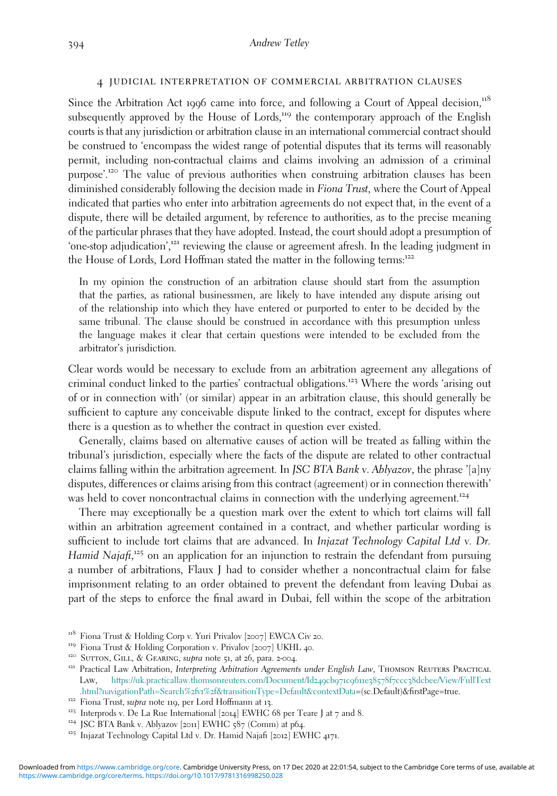# 4 judicial interpretation of commercial arbitration clauses

Since the Arbitration Act 1996 came into force, and following a Court of Appeal decision, $118$ subsequently approved by the House of Lords,<sup>119</sup> the contemporary approach of the English courts is that any jurisdiction or arbitration clause in an international commercial contract should be construed to 'encompass the widest range of potential disputes that its terms will reasonably permit, including non-contractual claims and claims involving an admission of a criminal purpose'. <sup>120</sup> The value of previous authorities when construing arbitration clauses has been diminished considerably following the decision made in *Fiona Trust*, where the Court of Appeal indicated that parties who enter into arbitration agreements do not expect that, in the event of a dispute, there will be detailed argument, by reference to authorities, as to the precise meaning of the particular phrases that they have adopted. Instead, the court should adopt a presumption of 'one-stop adjudication', <sup>121</sup> reviewing the clause or agreement afresh. In the leading judgment in the House of Lords, Lord Hoffman stated the matter in the following terms:<sup>122</sup>

In my opinion the construction of an arbitration clause should start from the assumption that the parties, as rational businessmen, are likely to have intended any dispute arising out of the relationship into which they have entered or purported to enter to be decided by the same tribunal. The clause should be construed in accordance with this presumption unless the language makes it clear that certain questions were intended to be excluded from the arbitrator's jurisdiction.

Clear words would be necessary to exclude from an arbitration agreement any allegations of criminal conduct linked to the parties' contractual obligations.<sup>123</sup> Where the words 'arising out of or in connection with' (or similar) appear in an arbitration clause, this should generally be sufficient to capture any conceivable dispute linked to the contract, except for disputes where there is a question as to whether the contract in question ever existed.

Generally, claims based on alternative causes of action will be treated as falling within the tribunal's jurisdiction, especially where the facts of the dispute are related to other contractual claims falling within the arbitration agreement. In JSC BTA Bank v. Ablyazov, the phrase '[a]ny disputes, differences or claims arising from this contract (agreement) or in connection therewith' was held to cover noncontractual claims in connection with the underlying agreement.<sup>124</sup>

There may exceptionally be a question mark over the extent to which tort claims will fall within an arbitration agreement contained in a contract, and whether particular wording is sufficient to include tort claims that are advanced. In Injazat Technology Capital Ltd v. Dr. Hamid Najafi,<sup>125</sup> on an application for an injunction to restrain the defendant from pursuing a number of arbitrations, Flaux J had to consider whether a noncontractual claim for false imprisonment relating to an order obtained to prevent the defendant from leaving Dubai as part of the steps to enforce the final award in Dubai, fell within the scope of the arbitration

<sup>&</sup>lt;sup>118</sup> Fiona Trust & Holding Corp v. Yuri Privalov [2007] EWCA Civ 20.<br><sup>119</sup> Fiona Trust & Holding Corporation v. Privalov [2007] UKHL 40.<br><sup>120</sup> SUTTON, GILL, & GEARING, *supra* note 51, at 26, para. 2-004.<br><sup>121</sup> Practical Law, [https://uk.practicallaw.thomsonreuters.com/Document/Id](https://uk.practicallaw.thomsonreuters.com/Document/Id249cb971c9611e38578f7ccc38dcbee/View/FullText.html?navigationPath=Search%2fv1%2f%26transitionType=Default%26contextData)249cb971c9611e38578f7ccc38dcbee/View/FullText .html?navigationPath=Search%2fv1%2[f&transitionType=Default&contextData=](https://uk.practicallaw.thomsonreuters.com/Document/Id249cb971c9611e38578f7ccc38dcbee/View/FullText.html?navigationPath=Search%2fv1%2f%26transitionType=Default%26contextData)(sc.Default)&firstPage=true.<br><sup>122</sup> Fiona Trust, *supra* note 119, per Lord Hoffmann at 13.<br><sup>123</sup> Interprods v. De La Rue International [2014] EWHC 68 p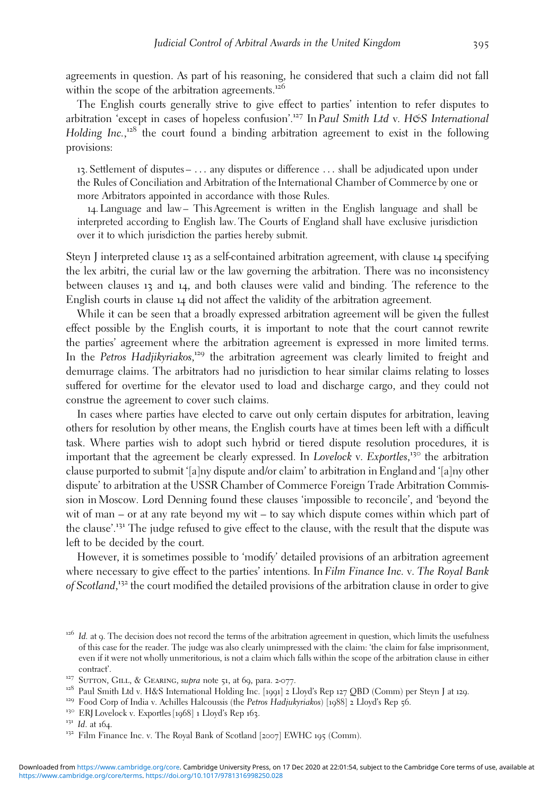agreements in question. As part of his reasoning, he considered that such a claim did not fall within the scope of the arbitration agreements.<sup>126</sup>

The English courts generally strive to give effect to parties' intention to refer disputes to arbitration 'except in cases of hopeless confusion'.<sup>127</sup> In Paul Smith Ltd v. H&S International Holding Inc.,<sup>128</sup> the court found a binding arbitration agreement to exist in the following provisions:

13. Settlement of disputes – ... any disputes or difference ... shall be adjudicated upon under the Rules of Conciliation and Arbitration of the International Chamber of Commerce by one or more Arbitrators appointed in accordance with those Rules.

14. Language and law– This Agreement is written in the English language and shall be interpreted according to English law. The Courts of England shall have exclusive jurisdiction over it to which jurisdiction the parties hereby submit.

Steyn J interpreted clause 13 as a self-contained arbitration agreement, with clause 14 specifying the lex arbitri, the curial law or the law governing the arbitration. There was no inconsistency between clauses 13 and 14, and both clauses were valid and binding. The reference to the English courts in clause 14 did not affect the validity of the arbitration agreement.

While it can be seen that a broadly expressed arbitration agreement will be given the fullest effect possible by the English courts, it is important to note that the court cannot rewrite the parties' agreement where the arbitration agreement is expressed in more limited terms. In the Petros Hadjikyriakos,<sup>129</sup> the arbitration agreement was clearly limited to freight and demurrage claims. The arbitrators had no jurisdiction to hear similar claims relating to losses suffered for overtime for the elevator used to load and discharge cargo, and they could not construe the agreement to cover such claims.

In cases where parties have elected to carve out only certain disputes for arbitration, leaving others for resolution by other means, the English courts have at times been left with a difficult task. Where parties wish to adopt such hybrid or tiered dispute resolution procedures, it is important that the agreement be clearly expressed. In Lovelock v. Exportles,<sup>130</sup> the arbitration clause purported to submit '[a]ny dispute and/or claim' to arbitration in England and '[a]ny other dispute' to arbitration at the USSR Chamber of Commerce Foreign Trade Arbitration Commission in Moscow. Lord Denning found these clauses 'impossible to reconcile', and 'beyond the wit of man – or at any rate beyond my wit – to say which dispute comes within which part of the clause'. <sup>131</sup> The judge refused to give effect to the clause, with the result that the dispute was left to be decided by the court.

However, it is sometimes possible to 'modify' detailed provisions of an arbitration agreement where necessary to give effect to the parties' intentions. In Film Finance Inc. v. The Royal Bank of Scotland,<sup>132</sup> the court modified the detailed provisions of the arbitration clause in order to give

 $126$  Id. at 9. The decision does not record the terms of the arbitration agreement in question, which limits the usefulness of this case for the reader. The judge was also clearly unimpressed with the claim: 'the claim for false imprisonment, even if it were not wholly unmeritorious, is not a claim which falls within the scope of the arbitration clause in either contract'.<br><sup>127</sup> Surron, GILL, & GEARING, *supra* note 51, at 69, para. 2-077.<br><sup>128</sup> Paul Smith Ltd v. H&S International Holding Inc. [1991] 2 Lloyd's Rep 127 QBD (Comm) per Steyn J at 129.<br><sup>129</sup> Food Corp of India v. Achi